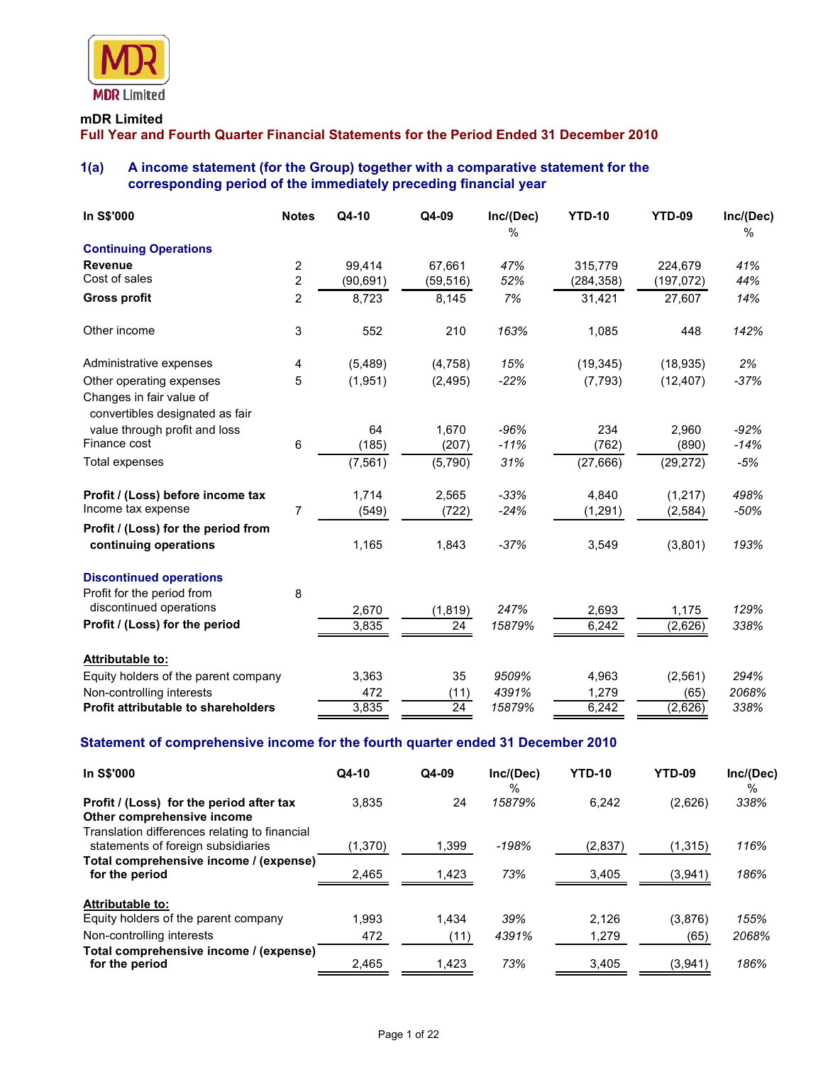

#### **mDR Limited**

**Full Year and Fourth Quarter Financial Statements for the Period Ended 31 December 2010** 

## **1(a) A income statement (for the Group) together with a comparative statement for the corresponding period of the immediately preceding financial year**

| In S\$'000                                                                              | <b>Notes</b>   | Q4-10     | Q4-09     | Inc/(Dec)<br>$\%$ | <b>YTD-10</b> | <b>YTD-09</b> | Inc/(Dec)<br>$\frac{0}{0}$ |
|-----------------------------------------------------------------------------------------|----------------|-----------|-----------|-------------------|---------------|---------------|----------------------------|
| <b>Continuing Operations</b>                                                            |                |           |           |                   |               |               |                            |
| <b>Revenue</b>                                                                          | 2              | 99.414    | 67.661    | 47%               | 315.779       | 224,679       | 41%                        |
| Cost of sales                                                                           | $\overline{c}$ | (90, 691) | (59, 516) | 52%               | (284, 358)    | (197, 072)    | 44%                        |
| <b>Gross profit</b>                                                                     | 2              | 8,723     | 8,145     | 7%                | 31,421        | 27,607        | 14%                        |
| Other income                                                                            | 3              | 552       | 210       | 163%              | 1,085         | 448           | 142%                       |
| Administrative expenses                                                                 | 4              | (5,489)   | (4,758)   | 15%               | (19, 345)     | (18, 935)     | 2%                         |
| Other operating expenses<br>Changes in fair value of<br>convertibles designated as fair | 5              | (1,951)   | (2, 495)  | $-22%$            | (7, 793)      | (12, 407)     | $-37%$                     |
| value through profit and loss                                                           |                | 64        | 1,670     | $-96%$            | 234           | 2,960         | $-92%$                     |
| Finance cost                                                                            | 6              | (185)     | (207)     | $-11%$            | (762)         | (890)         | $-14%$                     |
| Total expenses                                                                          |                | (7, 561)  | (5,790)   | 31%               | (27, 666)     | (29, 272)     | $-5%$                      |
| Profit / (Loss) before income tax                                                       |                | 1,714     | 2,565     | $-33%$            | 4.840         | (1, 217)      | 498%                       |
| Income tax expense                                                                      | $\overline{7}$ | (549)     | (722)     | $-24%$            | (1, 291)      | (2,584)       | $-50%$                     |
| Profit / (Loss) for the period from<br>continuing operations                            |                | 1,165     | 1,843     | $-37%$            | 3,549         | (3,801)       | 193%                       |
| <b>Discontinued operations</b><br>Profit for the period from                            | 8              |           |           |                   |               |               |                            |
| discontinued operations                                                                 |                | 2,670     | (1, 819)  | 247%              | 2,693         | 1,175         | 129%                       |
| Profit / (Loss) for the period                                                          |                | 3,835     | 24        | 15879%            | 6,242         | (2,626)       | 338%                       |
| <b>Attributable to:</b>                                                                 |                |           |           |                   |               |               |                            |
| Equity holders of the parent company                                                    |                | 3,363     | 35        | 9509%             | 4,963         | (2, 561)      | 294%                       |
| Non-controlling interests                                                               |                | 472       | (11)      | 4391%             | 1,279         | (65)          | 2068%                      |
| Profit attributable to shareholders                                                     |                | 3,835     | 24        | 15879%            | 6.242         | (2,626)       | 338%                       |

## **Statement of comprehensive income for the fourth quarter ended 31 December 2010**

| <b>In S\$'000</b>                                                                                                       | $Q4-10$ | $Q4-09$ | Inc/(Dec)<br>% | <b>YTD-10</b> | YTD-09  | Inc/(Dec)<br>% |
|-------------------------------------------------------------------------------------------------------------------------|---------|---------|----------------|---------------|---------|----------------|
| Profit / (Loss) for the period after tax<br>Other comprehensive income<br>Translation differences relating to financial | 3.835   | 24      | 15879%         | 6,242         | (2,626) | 338%           |
| statements of foreign subsidiaries                                                                                      | (1,370) | 1,399   | -198%          | (2,837)       | (1,315) | 116%           |
| Total comprehensive income / (expense)<br>for the period                                                                | 2,465   | 1,423   | 73%            | 3,405         | (3,941) | 186%           |
| Attributable to:                                                                                                        |         |         |                |               |         |                |
| Equity holders of the parent company                                                                                    | 1.993   | 1.434   | 39%            | 2.126         | (3,876) | 155%           |
| Non-controlling interests                                                                                               | 472     | (11)    | 4391%          | 1,279         | (65)    | 2068%          |
| Total comprehensive income / (expense)<br>for the period                                                                | 2,465   | 1,423   | 73%            | 3,405         | (3,941) | 186%           |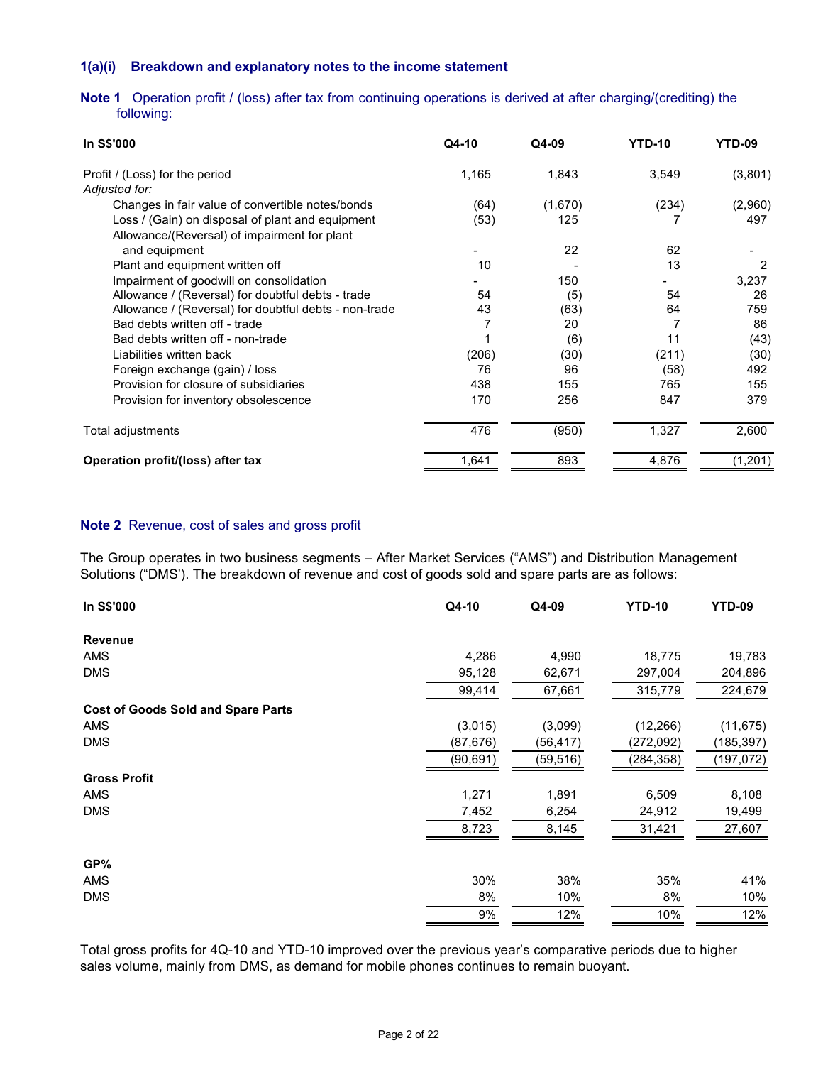## **1(a)(i) Breakdown and explanatory notes to the income statement**

**Note 1** Operation profit / (loss) after tax from continuing operations is derived at after charging/(crediting) the following:

| In S\$'000                                            | Q4-10 | Q4-09   | <b>YTD-10</b> | YTD-09   |
|-------------------------------------------------------|-------|---------|---------------|----------|
| Profit / (Loss) for the period                        | 1,165 | 1,843   | 3,549         | (3,801)  |
| Adjusted for:                                         |       |         |               |          |
| Changes in fair value of convertible notes/bonds      | (64)  | (1,670) | (234)         | (2,960)  |
| Loss / (Gain) on disposal of plant and equipment      | (53)  | 125     |               | 497      |
| Allowance/(Reversal) of impairment for plant          |       |         |               |          |
| and equipment                                         |       | 22      | 62            |          |
| Plant and equipment written off                       | 10    |         | 13            | 2        |
| Impairment of goodwill on consolidation               |       | 150     |               | 3,237    |
| Allowance / (Reversal) for doubtful debts - trade     | 54    | (5)     | 54            | 26       |
| Allowance / (Reversal) for doubtful debts - non-trade | 43    | (63)    | 64            | 759      |
| Bad debts written off - trade                         |       | 20      |               | 86       |
| Bad debts written off - non-trade                     |       | (6)     | 11            | (43)     |
| Liabilities written back                              | (206) | (30)    | (211)         | (30)     |
| Foreign exchange (gain) / loss                        | 76    | 96      | (58)          | 492      |
| Provision for closure of subsidiaries                 | 438   | 155     | 765           | 155      |
| Provision for inventory obsolescence                  | 170   | 256     | 847           | 379      |
| Total adjustments                                     | 476   | (950)   | 1,327         | 2,600    |
| Operation profit/(loss) after tax                     | 1,641 | 893     | 4,876         | (1, 201) |

#### **Note 2** Revenue, cost of sales and gross profit

The Group operates in two business segments – After Market Services ("AMS") and Distribution Management Solutions ("DMS'). The breakdown of revenue and cost of goods sold and spare parts are as follows:

| In S\$'000                                | Q4-10     | Q4-09     | <b>YTD-10</b> | <b>YTD-09</b> |
|-------------------------------------------|-----------|-----------|---------------|---------------|
| <b>Revenue</b>                            |           |           |               |               |
| AMS                                       | 4,286     | 4,990     | 18,775        | 19,783        |
| <b>DMS</b>                                | 95,128    | 62,671    | 297,004       | 204,896       |
|                                           | 99,414    | 67,661    | 315,779       | 224,679       |
| <b>Cost of Goods Sold and Spare Parts</b> |           |           |               |               |
| AMS                                       | (3,015)   | (3,099)   | (12, 266)     | (11, 675)     |
| <b>DMS</b>                                | (87,676)  | (56, 417) | (272,092)     | (185,397)     |
|                                           | (90, 691) | (59, 516) | (284, 358)    | (197,072)     |
| <b>Gross Profit</b>                       |           |           |               |               |
| <b>AMS</b>                                | 1,271     | 1,891     | 6,509         | 8,108         |
| <b>DMS</b>                                | 7,452     | 6,254     | 24,912        | 19,499        |
|                                           | 8,723     | 8,145     | 31,421        | 27,607        |
| GP%                                       |           |           |               |               |
| <b>AMS</b>                                | 30%       | 38%       | 35%           | 41%           |
| <b>DMS</b>                                | 8%        | 10%       | 8%            | 10%           |
|                                           | 9%        | 12%       | 10%           | 12%           |

Total gross profits for 4Q-10 and YTD-10 improved over the previous year's comparative periods due to higher sales volume, mainly from DMS, as demand for mobile phones continues to remain buoyant.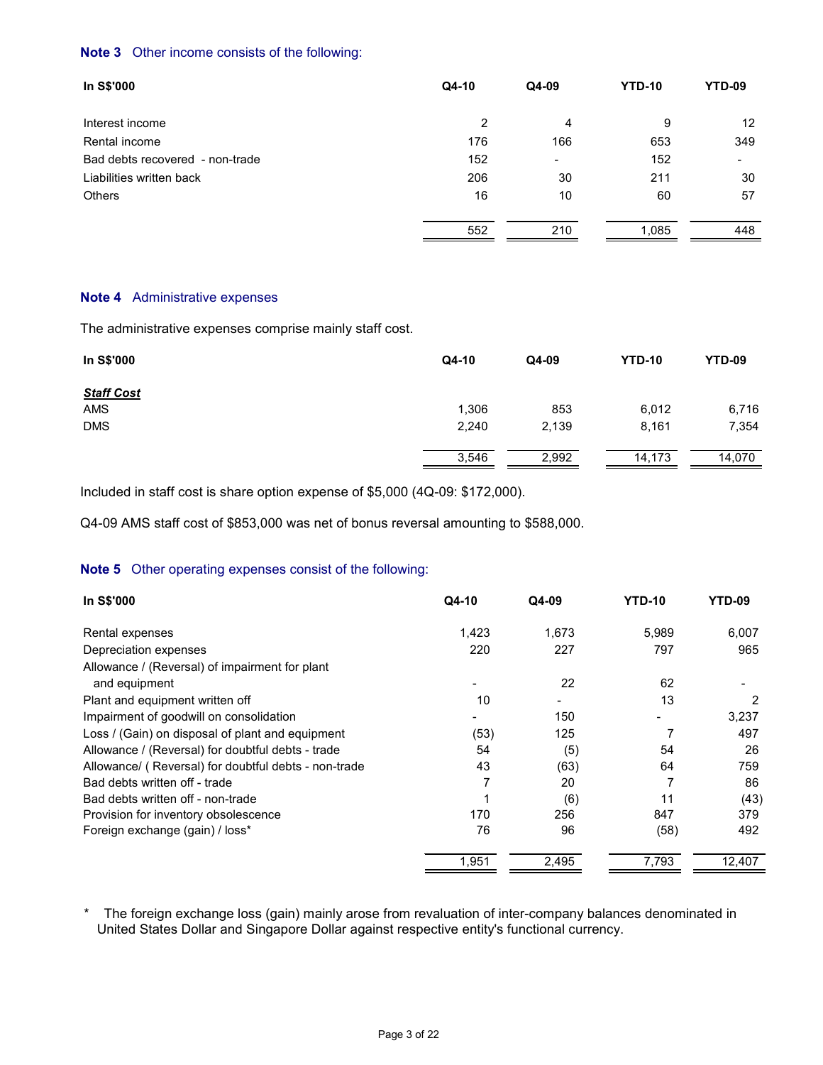## **Note 3** Other income consists of the following:

| In S\$'000                      | Q4-10 | Q4-09          | <b>YTD-10</b> | YTD-09          |
|---------------------------------|-------|----------------|---------------|-----------------|
| Interest income                 | 2     | 4              | 9             | 12 <sup>°</sup> |
| Rental income                   | 176   | 166            | 653           | 349             |
| Bad debts recovered - non-trade | 152   | $\blacksquare$ | 152           | ۰               |
| Liabilities written back        | 206   | 30             | 211           | 30              |
| Others                          | 16    | 10             | 60            | 57              |
|                                 | 552   | 210            | 1,085         | 448             |

#### **Note 4** Administrative expenses

The administrative expenses comprise mainly staff cost.

| In S\$'000        | Q4-10 | Q4-09 | <b>YTD-10</b> | <b>YTD-09</b> |
|-------------------|-------|-------|---------------|---------------|
| <b>Staff Cost</b> |       |       |               |               |
| AMS               | 1,306 | 853   | 6,012         | 6,716         |
| <b>DMS</b>        | 2,240 | 2,139 | 8,161         | 7,354         |
|                   | 3,546 | 2,992 | 14,173        | 14,070        |

Included in staff cost is share option expense of \$5,000 (4Q-09: \$172,000).

Q4-09 AMS staff cost of \$853,000 was net of bonus reversal amounting to \$588,000.

## **Note 5** Other operating expenses consist of the following:

| In S\$'000                                           | Q4-10 | Q4-09 | <b>YTD-10</b> | YTD-09 |
|------------------------------------------------------|-------|-------|---------------|--------|
| Rental expenses                                      | 1,423 | 1.673 | 5,989         | 6,007  |
| Depreciation expenses                                | 220   | 227   | 797           | 965    |
| Allowance / (Reversal) of impairment for plant       |       |       |               |        |
| and equipment                                        |       | 22    | 62            |        |
| Plant and equipment written off                      | 10    |       | 13            | 2      |
| Impairment of goodwill on consolidation              |       | 150   |               | 3,237  |
| Loss / (Gain) on disposal of plant and equipment     | (53)  | 125   | 7             | 497    |
| Allowance / (Reversal) for doubtful debts - trade    | 54    | (5)   | 54            | 26     |
| Allowance/ (Reversal) for doubtful debts - non-trade | 43    | (63)  | 64            | 759    |
| Bad debts written off - trade                        | 7     | 20    |               | 86     |
| Bad debts written off - non-trade                    |       | (6)   | 11            | (43)   |
| Provision for inventory obsolescence                 | 170   | 256   | 847           | 379    |
| Foreign exchange (gain) / loss*                      | 76    | 96    | (58)          | 492    |
|                                                      | 1,951 | 2,495 | 7,793         | 12,407 |

 \* The foreign exchange loss (gain) mainly arose from revaluation of inter-company balances denominated in United States Dollar and Singapore Dollar against respective entity's functional currency.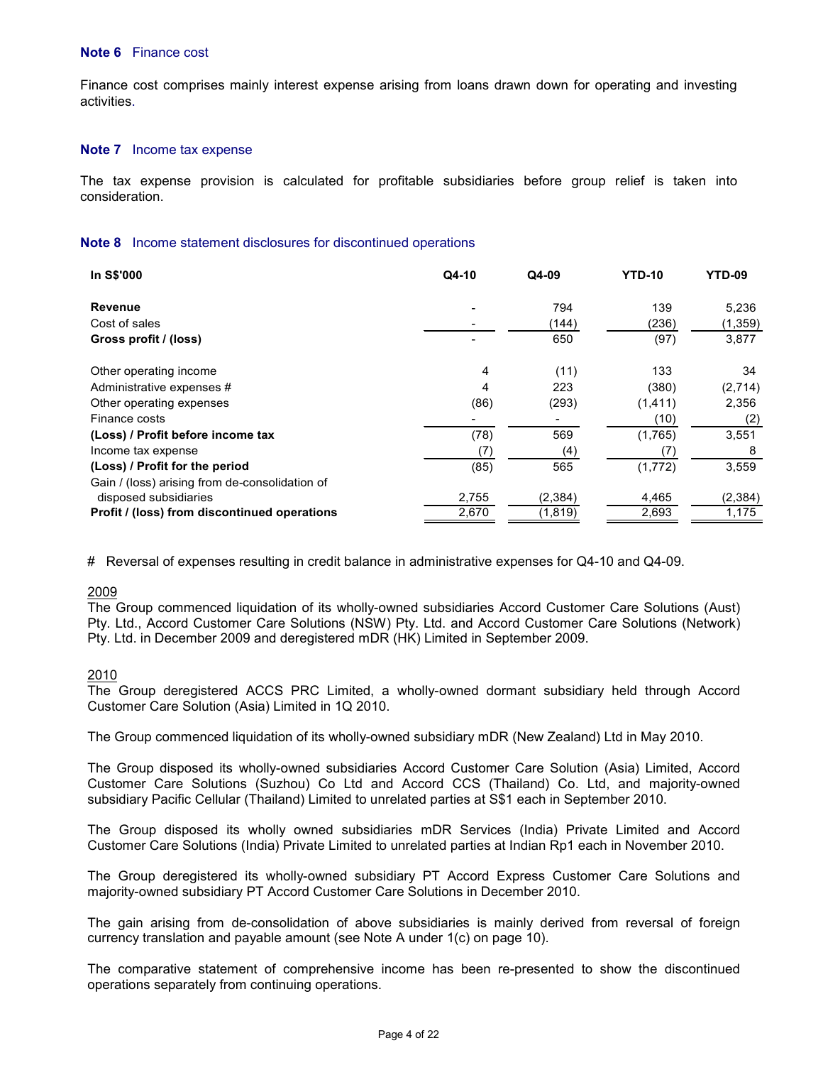#### **Note 6** Finance cost

Finance cost comprises mainly interest expense arising from loans drawn down for operating and investing activities.

#### **Note 7** Income tax expense

 The tax expense provision is calculated for profitable subsidiaries before group relief is taken into consideration.

#### **Note 8** Income statement disclosures for discontinued operations

| In S\$'000                                     | Q4-10 | Q4-09    | <b>YTD-10</b> | YTD-09   |
|------------------------------------------------|-------|----------|---------------|----------|
| <b>Revenue</b>                                 |       | 794      | 139           | 5,236    |
| Cost of sales                                  |       | (144)    | (236)         | (1, 359) |
| Gross profit / (loss)                          |       | 650      | (97)          | 3,877    |
| Other operating income                         | 4     | (11)     | 133           | 34       |
| Administrative expenses #                      | 4     | 223      | (380)         | (2,714)  |
| Other operating expenses                       | (86)  | (293)    | (1, 411)      | 2,356    |
| Finance costs                                  |       |          | (10)          | (2)      |
| (Loss) / Profit before income tax              | (78)  | 569      | (1,765)       | 3,551    |
| Income tax expense                             | (7)   | (4)      | (7)           | 8        |
| (Loss) / Profit for the period                 | (85)  | 565      | (1,772)       | 3,559    |
| Gain / (loss) arising from de-consolidation of |       |          |               |          |
| disposed subsidiaries                          | 2,755 | (2, 384) | 4,465         | (2, 384) |
| Profit / (loss) from discontinued operations   | 2,670 | (1,819)  | 2,693         | 1,175    |

# Reversal of expenses resulting in credit balance in administrative expenses for Q4-10 and Q4-09.

#### 2009

The Group commenced liquidation of its wholly-owned subsidiaries Accord Customer Care Solutions (Aust) Pty. Ltd., Accord Customer Care Solutions (NSW) Pty. Ltd. and Accord Customer Care Solutions (Network) Pty. Ltd. in December 2009 and deregistered mDR (HK) Limited in September 2009.

#### 2010

The Group deregistered ACCS PRC Limited, a wholly-owned dormant subsidiary held through Accord Customer Care Solution (Asia) Limited in 1Q 2010.

The Group commenced liquidation of its wholly-owned subsidiary mDR (New Zealand) Ltd in May 2010.

The Group disposed its wholly-owned subsidiaries Accord Customer Care Solution (Asia) Limited, Accord Customer Care Solutions (Suzhou) Co Ltd and Accord CCS (Thailand) Co. Ltd, and majority-owned subsidiary Pacific Cellular (Thailand) Limited to unrelated parties at S\$1 each in September 2010.

The Group disposed its wholly owned subsidiaries mDR Services (India) Private Limited and Accord Customer Care Solutions (India) Private Limited to unrelated parties at Indian Rp1 each in November 2010.

The Group deregistered its wholly-owned subsidiary PT Accord Express Customer Care Solutions and majority-owned subsidiary PT Accord Customer Care Solutions in December 2010.

The gain arising from de-consolidation of above subsidiaries is mainly derived from reversal of foreign currency translation and payable amount (see Note A under 1(c) on page 10).

The comparative statement of comprehensive income has been re-presented to show the discontinued operations separately from continuing operations.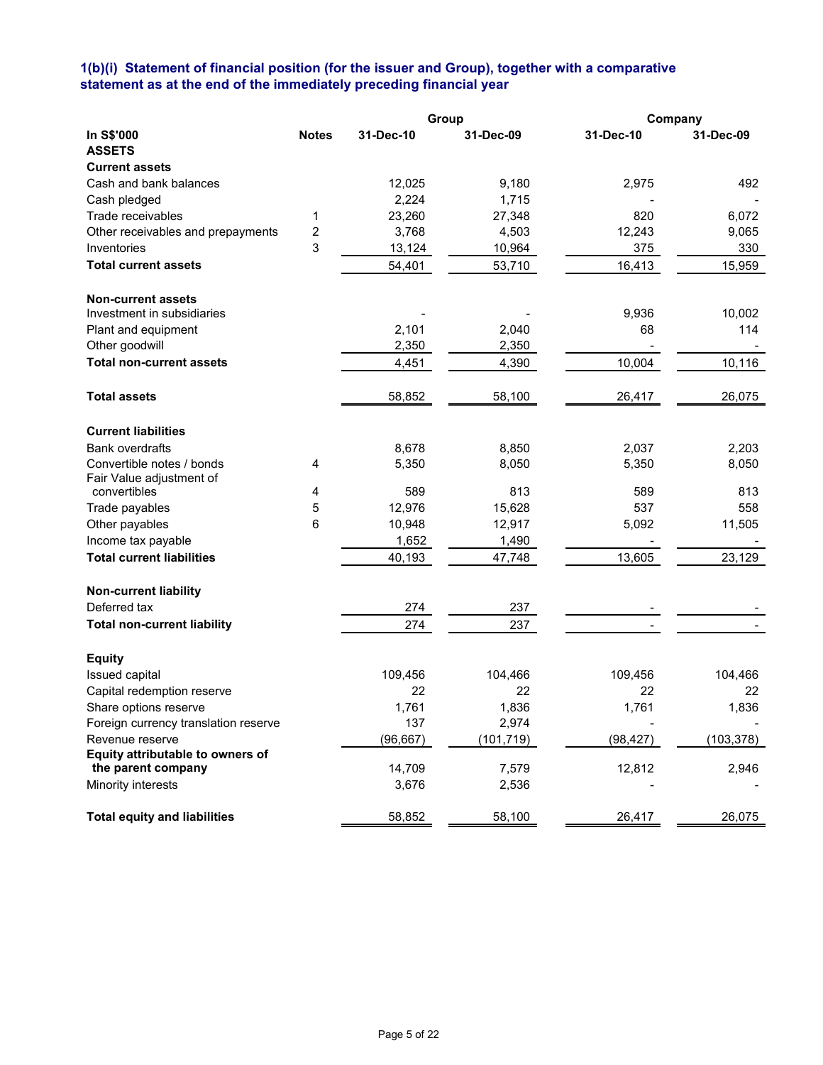#### **1(b)(i) Statement of financial position (for the issuer and Group), together with a comparative statement as at the end of the immediately preceding financial year**

|                                          |                         |           | Group      | Company   |            |
|------------------------------------------|-------------------------|-----------|------------|-----------|------------|
| In S\$'000                               | <b>Notes</b>            | 31-Dec-10 | 31-Dec-09  | 31-Dec-10 | 31-Dec-09  |
| <b>ASSETS</b>                            |                         |           |            |           |            |
| <b>Current assets</b>                    |                         |           |            |           |            |
| Cash and bank balances                   |                         | 12,025    | 9,180      | 2,975     | 492        |
| Cash pledged                             |                         | 2,224     | 1,715      |           |            |
| Trade receivables                        | 1                       | 23,260    | 27,348     | 820       | 6,072      |
| Other receivables and prepayments        | $\overline{\mathbf{c}}$ | 3,768     | 4,503      | 12,243    | 9,065      |
| Inventories                              | 3                       | 13,124    | 10,964     | 375       | 330        |
| <b>Total current assets</b>              |                         | 54,401    | 53,710     | 16,413    | 15,959     |
| <b>Non-current assets</b>                |                         |           |            |           |            |
| Investment in subsidiaries               |                         |           |            | 9,936     | 10,002     |
| Plant and equipment                      |                         | 2,101     | 2,040      | 68        | 114        |
| Other goodwill                           |                         | 2,350     | 2,350      |           |            |
| <b>Total non-current assets</b>          |                         | 4,451     | 4,390      | 10,004    | 10,116     |
|                                          |                         |           |            |           |            |
| <b>Total assets</b>                      |                         | 58,852    | 58,100     | 26,417    | 26,075     |
| <b>Current liabilities</b>               |                         |           |            |           |            |
| <b>Bank overdrafts</b>                   |                         | 8,678     | 8,850      | 2,037     | 2,203      |
| Convertible notes / bonds                | 4                       | 5,350     | 8,050      | 5,350     | 8,050      |
| Fair Value adjustment of<br>convertibles |                         | 589       | 813        | 589       | 813        |
|                                          | 4<br>5                  | 12,976    | 15,628     | 537       | 558        |
| Trade payables<br>Other payables         | 6                       | 10,948    | 12,917     | 5,092     | 11,505     |
| Income tax payable                       |                         | 1,652     | 1,490      |           |            |
| <b>Total current liabilities</b>         |                         |           |            |           |            |
|                                          |                         | 40,193    | 47,748     | 13,605    | 23,129     |
| <b>Non-current liability</b>             |                         |           |            |           |            |
| Deferred tax                             |                         | 274       | 237        |           |            |
| <b>Total non-current liability</b>       |                         | 274       | 237        |           |            |
| <b>Equity</b>                            |                         |           |            |           |            |
| Issued capital                           |                         | 109,456   | 104,466    | 109,456   | 104,466    |
| Capital redemption reserve               |                         | 22        | 22         | 22        | 22         |
| Share options reserve                    |                         | 1,761     | 1,836      | 1,761     | 1,836      |
| Foreign currency translation reserve     |                         | 137       | 2,974      |           |            |
| Revenue reserve                          |                         | (96, 667) | (101, 719) | (98, 427) | (103, 378) |
| Equity attributable to owners of         |                         |           |            |           |            |
| the parent company                       |                         | 14,709    | 7,579      | 12,812    | 2,946      |
| Minority interests                       |                         | 3,676     | 2,536      |           |            |
| <b>Total equity and liabilities</b>      |                         | 58,852    | 58,100     | 26,417    | 26,075     |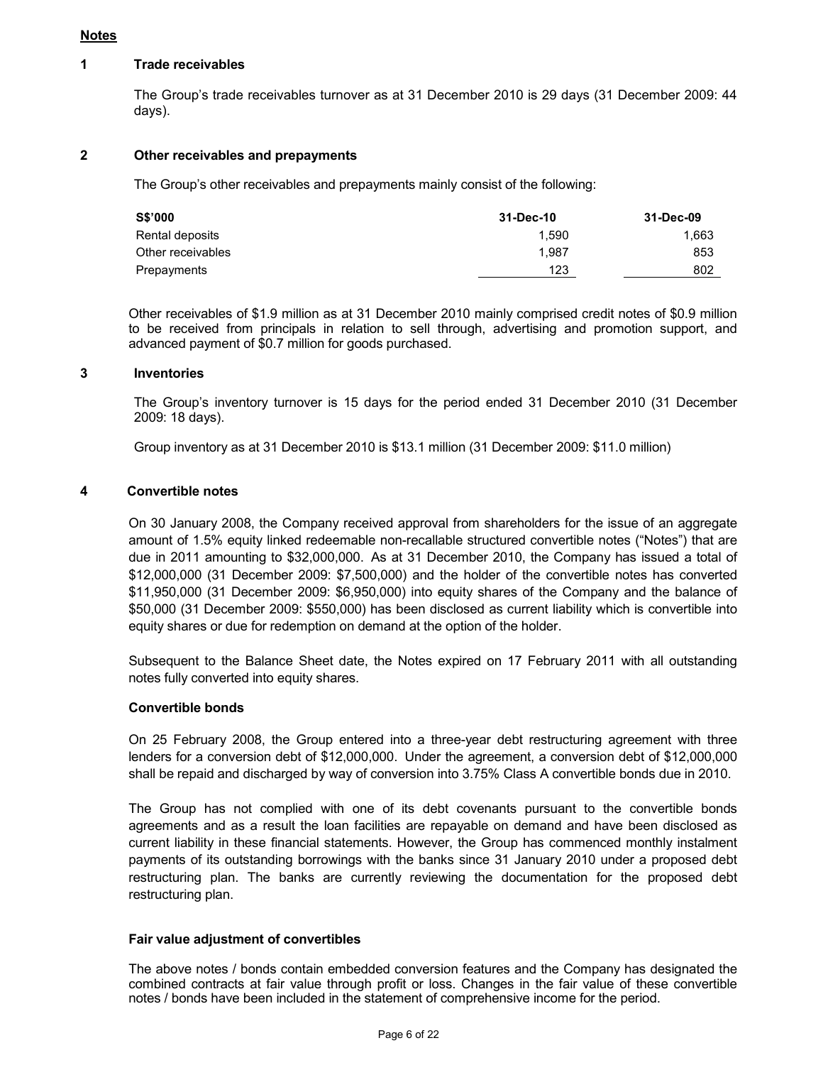#### **Notes**

#### **1 Trade receivables**

 The Group's trade receivables turnover as at 31 December 2010 is 29 days (31 December 2009: 44 days).

## **2 Other receivables and prepayments**

The Group's other receivables and prepayments mainly consist of the following:

| <b>S\$'000</b>    | 31-Dec-10 | 31-Dec-09 |
|-------------------|-----------|-----------|
| Rental deposits   | 1.590     | 1,663     |
| Other receivables | 1.987     | 853       |
| Prepayments       | 123       | 802       |

Other receivables of \$1.9 million as at 31 December 2010 mainly comprised credit notes of \$0.9 million to be received from principals in relation to sell through, advertising and promotion support, and advanced payment of \$0.7 million for goods purchased.

## **3 Inventories**

 The Group's inventory turnover is 15 days for the period ended 31 December 2010 (31 December 2009: 18 days).

Group inventory as at 31 December 2010 is \$13.1 million (31 December 2009: \$11.0 million)

## **4 Convertible notes**

 On 30 January 2008, the Company received approval from shareholders for the issue of an aggregate amount of 1.5% equity linked redeemable non-recallable structured convertible notes ("Notes") that are due in 2011 amounting to \$32,000,000. As at 31 December 2010, the Company has issued a total of \$12,000,000 (31 December 2009: \$7,500,000) and the holder of the convertible notes has converted \$11,950,000 (31 December 2009: \$6,950,000) into equity shares of the Company and the balance of \$50,000 (31 December 2009: \$550,000) has been disclosed as current liability which is convertible into equity shares or due for redemption on demand at the option of the holder.

 Subsequent to the Balance Sheet date, the Notes expired on 17 February 2011 with all outstanding notes fully converted into equity shares.

## **Convertible bonds**

 On 25 February 2008, the Group entered into a three-year debt restructuring agreement with three lenders for a conversion debt of \$12,000,000. Under the agreement, a conversion debt of \$12,000,000 shall be repaid and discharged by way of conversion into 3.75% Class A convertible bonds due in 2010.

 The Group has not complied with one of its debt covenants pursuant to the convertible bonds agreements and as a result the loan facilities are repayable on demand and have been disclosed as current liability in these financial statements. However, the Group has commenced monthly instalment payments of its outstanding borrowings with the banks since 31 January 2010 under a proposed debt restructuring plan. The banks are currently reviewing the documentation for the proposed debt restructuring plan.

#### **Fair value adjustment of convertibles**

The above notes / bonds contain embedded conversion features and the Company has designated the combined contracts at fair value through profit or loss. Changes in the fair value of these convertible notes / bonds have been included in the statement of comprehensive income for the period.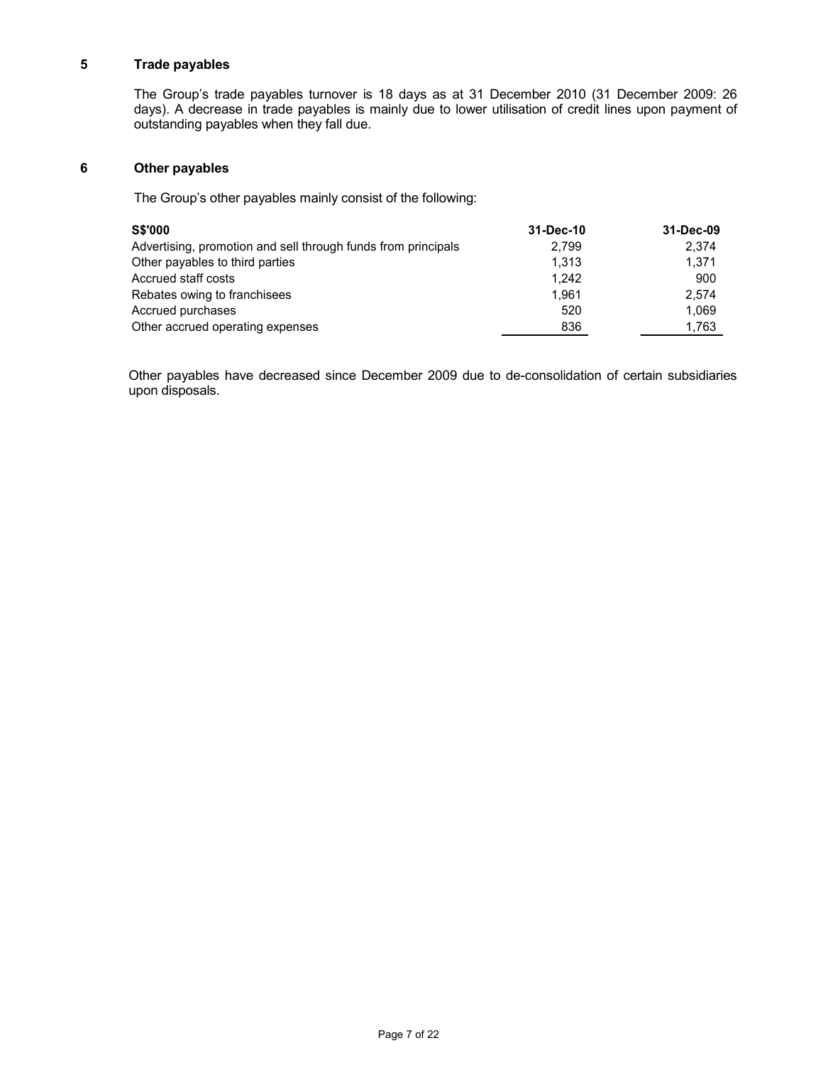## **5 Trade payables**

 The Group's trade payables turnover is 18 days as at 31 December 2010 (31 December 2009: 26 days). A decrease in trade payables is mainly due to lower utilisation of credit lines upon payment of outstanding payables when they fall due.

#### **6 Other payables**

The Group's other payables mainly consist of the following:

| <b>S\$'000</b>                                                | 31-Dec-10 | 31-Dec-09 |
|---------------------------------------------------------------|-----------|-----------|
| Advertising, promotion and sell through funds from principals | 2.799     | 2.374     |
| Other payables to third parties                               | 1.313     | 1.371     |
| Accrued staff costs                                           | 1.242     | 900       |
| Rebates owing to franchisees                                  | 1.961     | 2.574     |
| Accrued purchases                                             | 520       | 1.069     |
| Other accrued operating expenses                              | 836       | 1,763     |

Other payables have decreased since December 2009 due to de-consolidation of certain subsidiaries upon disposals.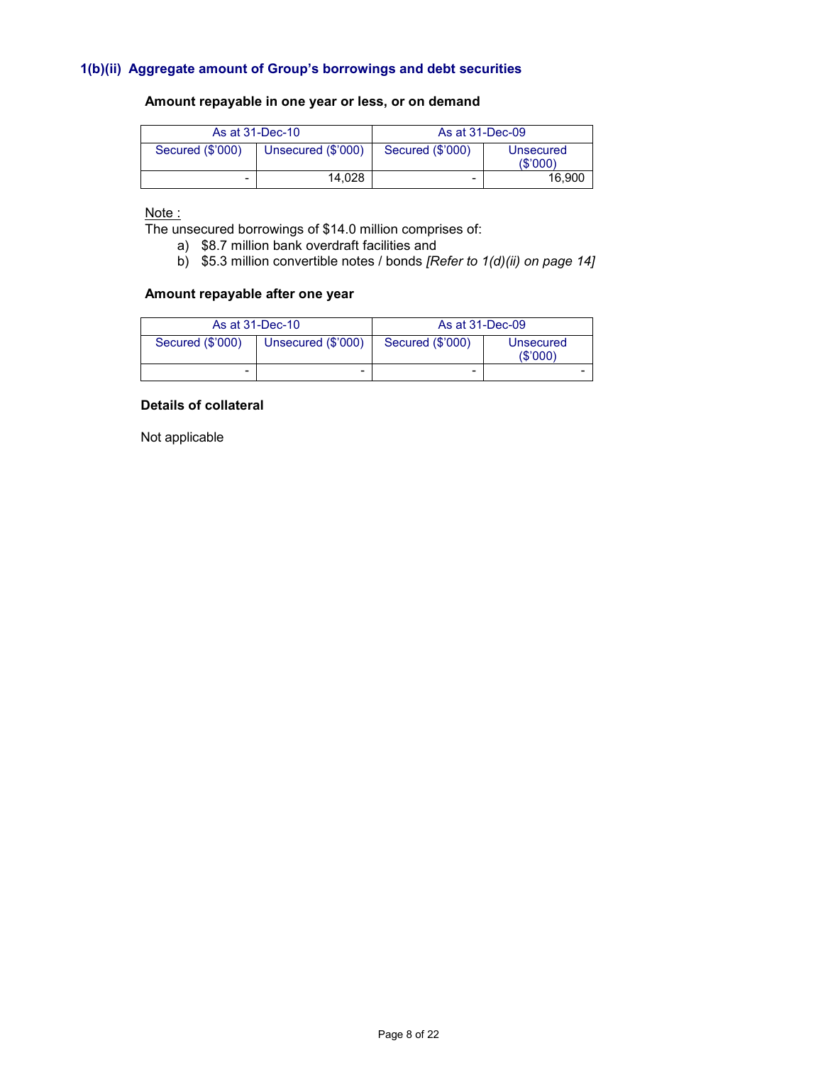## **1(b)(ii) Aggregate amount of Group's borrowings and debt securities**

## **Amount repayable in one year or less, or on demand**

|                  | As at 31-Dec-10    | As at 31-Dec-09  |                      |  |
|------------------|--------------------|------------------|----------------------|--|
| Secured (\$'000) | Unsecured (\$'000) | Secured (\$'000) | Unsecured<br>(S'000) |  |
| -                | 14.028             | -                | 16.900               |  |

# Note :

The unsecured borrowings of \$14.0 million comprises of:

- a) \$8.7 million bank overdraft facilities and
- b) \$5.3 million convertible notes / bonds *[Refer to 1(d)(ii) on page 14]*

## **Amount repayable after one year**

|                  | As at 31-Dec-10    | As at 31-Dec-09  |                      |  |
|------------------|--------------------|------------------|----------------------|--|
| Secured (\$'000) | Unsecured (\$'000) | Secured (\$'000) | Unsecured<br>(S'000) |  |
| -                | -                  |                  |                      |  |

## **Details of collateral**

Not applicable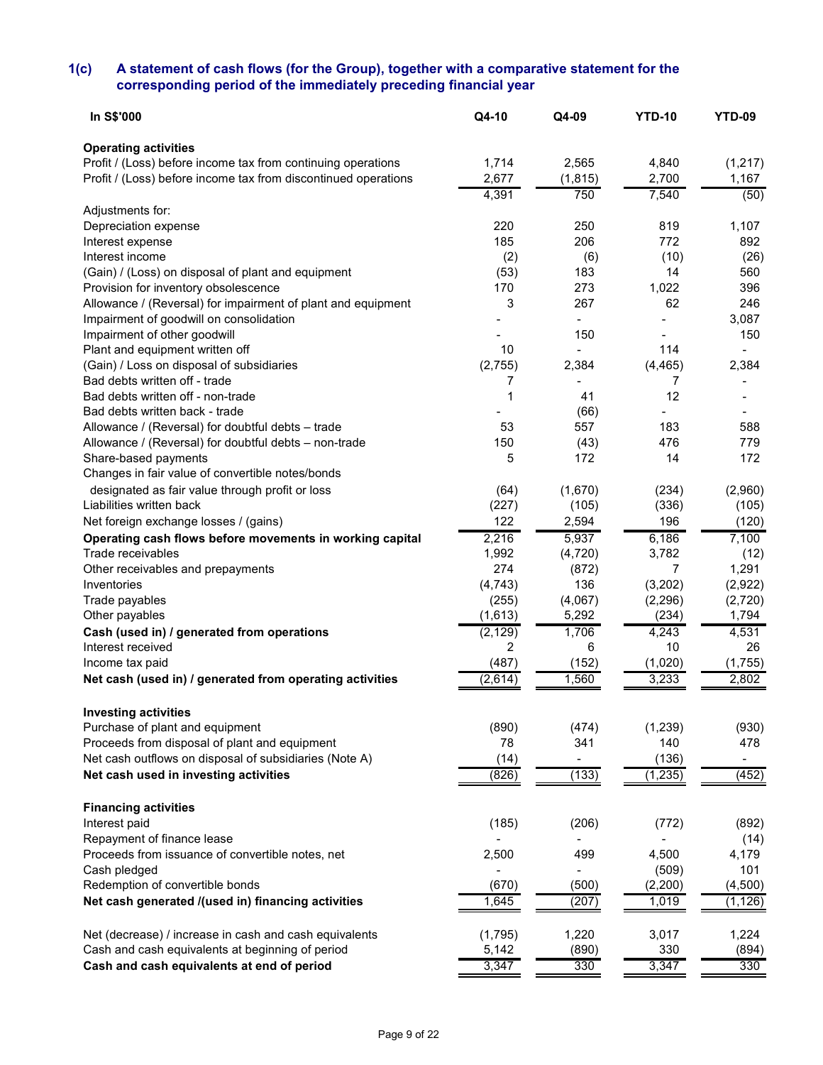#### **1(c) A statement of cash flows (for the Group), together with a comparative statement for the corresponding period of the immediately preceding financial year**

| <b>Operating activities</b><br>1,714<br>2,565<br>4,840<br>Profit / (Loss) before income tax from continuing operations<br>Profit / (Loss) before income tax from discontinued operations<br>2,677<br>2,700<br>(1, 815)<br>4,391<br>750<br>7,540<br>Adjustments for:<br>220<br>250<br>819<br>Depreciation expense<br>185<br>772<br>206<br>Interest expense<br>Interest income<br>(2)<br>(6)<br>(10)<br>183<br>(Gain) / (Loss) on disposal of plant and equipment<br>(53)<br>14<br>Provision for inventory obsolescence<br>273<br>1,022<br>170<br>Allowance / (Reversal) for impairment of plant and equipment<br>3<br>267<br>62<br>Impairment of goodwill on consolidation | (1, 217)<br>1,167<br>(50)<br>1,107<br>892<br>(26)<br>560<br>396<br>246<br>3,087<br>150<br>2,384 |
|---------------------------------------------------------------------------------------------------------------------------------------------------------------------------------------------------------------------------------------------------------------------------------------------------------------------------------------------------------------------------------------------------------------------------------------------------------------------------------------------------------------------------------------------------------------------------------------------------------------------------------------------------------------------------|-------------------------------------------------------------------------------------------------|
|                                                                                                                                                                                                                                                                                                                                                                                                                                                                                                                                                                                                                                                                           |                                                                                                 |
|                                                                                                                                                                                                                                                                                                                                                                                                                                                                                                                                                                                                                                                                           |                                                                                                 |
|                                                                                                                                                                                                                                                                                                                                                                                                                                                                                                                                                                                                                                                                           |                                                                                                 |
|                                                                                                                                                                                                                                                                                                                                                                                                                                                                                                                                                                                                                                                                           |                                                                                                 |
|                                                                                                                                                                                                                                                                                                                                                                                                                                                                                                                                                                                                                                                                           |                                                                                                 |
|                                                                                                                                                                                                                                                                                                                                                                                                                                                                                                                                                                                                                                                                           |                                                                                                 |
|                                                                                                                                                                                                                                                                                                                                                                                                                                                                                                                                                                                                                                                                           |                                                                                                 |
|                                                                                                                                                                                                                                                                                                                                                                                                                                                                                                                                                                                                                                                                           |                                                                                                 |
|                                                                                                                                                                                                                                                                                                                                                                                                                                                                                                                                                                                                                                                                           |                                                                                                 |
|                                                                                                                                                                                                                                                                                                                                                                                                                                                                                                                                                                                                                                                                           |                                                                                                 |
|                                                                                                                                                                                                                                                                                                                                                                                                                                                                                                                                                                                                                                                                           |                                                                                                 |
| 150                                                                                                                                                                                                                                                                                                                                                                                                                                                                                                                                                                                                                                                                       |                                                                                                 |
| Impairment of other goodwill<br>114<br>10                                                                                                                                                                                                                                                                                                                                                                                                                                                                                                                                                                                                                                 |                                                                                                 |
| Plant and equipment written off                                                                                                                                                                                                                                                                                                                                                                                                                                                                                                                                                                                                                                           |                                                                                                 |
| (Gain) / Loss on disposal of subsidiaries<br>(2,755)<br>(4, 465)<br>2,384                                                                                                                                                                                                                                                                                                                                                                                                                                                                                                                                                                                                 |                                                                                                 |
| Bad debts written off - trade<br>7<br>7<br>12<br>Bad debts written off - non-trade<br>41<br>1                                                                                                                                                                                                                                                                                                                                                                                                                                                                                                                                                                             |                                                                                                 |
| Bad debts written back - trade                                                                                                                                                                                                                                                                                                                                                                                                                                                                                                                                                                                                                                            |                                                                                                 |
| (66)<br>557                                                                                                                                                                                                                                                                                                                                                                                                                                                                                                                                                                                                                                                               |                                                                                                 |
| 183<br>Allowance / (Reversal) for doubtful debts - trade<br>53<br>476<br>150                                                                                                                                                                                                                                                                                                                                                                                                                                                                                                                                                                                              | 588<br>779                                                                                      |
| (43)<br>Allowance / (Reversal) for doubtful debts - non-trade<br>172<br>Share-based payments<br>14                                                                                                                                                                                                                                                                                                                                                                                                                                                                                                                                                                        | 172                                                                                             |
| 5                                                                                                                                                                                                                                                                                                                                                                                                                                                                                                                                                                                                                                                                         |                                                                                                 |
| Changes in fair value of convertible notes/bonds                                                                                                                                                                                                                                                                                                                                                                                                                                                                                                                                                                                                                          |                                                                                                 |
| designated as fair value through profit or loss<br>(64)<br>(1,670)<br>(234)                                                                                                                                                                                                                                                                                                                                                                                                                                                                                                                                                                                               | (2,960)                                                                                         |
| (336)<br>Liabilities written back<br>(227)<br>(105)                                                                                                                                                                                                                                                                                                                                                                                                                                                                                                                                                                                                                       | (105)                                                                                           |
| 122<br>196<br>Net foreign exchange losses / (gains)<br>2,594                                                                                                                                                                                                                                                                                                                                                                                                                                                                                                                                                                                                              | (120)                                                                                           |
| 2,216<br>5,937<br>6,186<br>Operating cash flows before movements in working capital                                                                                                                                                                                                                                                                                                                                                                                                                                                                                                                                                                                       | 7,100                                                                                           |
| Trade receivables<br>1,992<br>3,782<br>(4, 720)                                                                                                                                                                                                                                                                                                                                                                                                                                                                                                                                                                                                                           | (12)                                                                                            |
| 274<br>Other receivables and prepayments<br>7<br>(872)                                                                                                                                                                                                                                                                                                                                                                                                                                                                                                                                                                                                                    | 1,291                                                                                           |
| 136<br>(3, 202)<br>Inventories<br>(4, 743)                                                                                                                                                                                                                                                                                                                                                                                                                                                                                                                                                                                                                                | (2,922)                                                                                         |
| Trade payables<br>(255)<br>(4,067)<br>(2, 296)                                                                                                                                                                                                                                                                                                                                                                                                                                                                                                                                                                                                                            | (2,720)                                                                                         |
| Other payables<br>(1,613)<br>5,292<br>(234)                                                                                                                                                                                                                                                                                                                                                                                                                                                                                                                                                                                                                               | 1,794                                                                                           |
| (2, 129)<br>1,706<br>4,243<br>Cash (used in) / generated from operations                                                                                                                                                                                                                                                                                                                                                                                                                                                                                                                                                                                                  | 4,531                                                                                           |
| 10<br>Interest received<br>2<br>6                                                                                                                                                                                                                                                                                                                                                                                                                                                                                                                                                                                                                                         | 26                                                                                              |
| (487)<br>(152)<br>(1,020)<br>Income tax paid                                                                                                                                                                                                                                                                                                                                                                                                                                                                                                                                                                                                                              | (1,755)                                                                                         |
| 3,233<br>1,560<br>Net cash (used in) / generated from operating activities<br>(2,614)                                                                                                                                                                                                                                                                                                                                                                                                                                                                                                                                                                                     | 2,802                                                                                           |
| <b>Investing activities</b>                                                                                                                                                                                                                                                                                                                                                                                                                                                                                                                                                                                                                                               |                                                                                                 |
| Purchase of plant and equipment<br>(890)<br>(1, 239)<br>(474)                                                                                                                                                                                                                                                                                                                                                                                                                                                                                                                                                                                                             | (930)                                                                                           |
| Proceeds from disposal of plant and equipment<br>78<br>341<br>140                                                                                                                                                                                                                                                                                                                                                                                                                                                                                                                                                                                                         | 478                                                                                             |
| Net cash outflows on disposal of subsidiaries (Note A)<br>(136)<br>(14)<br>$\overline{\phantom{a}}$                                                                                                                                                                                                                                                                                                                                                                                                                                                                                                                                                                       | $\overline{\phantom{a}}$                                                                        |
| (133)<br>Net cash used in investing activities<br>(1, 235)<br>(826)                                                                                                                                                                                                                                                                                                                                                                                                                                                                                                                                                                                                       | (452)                                                                                           |
|                                                                                                                                                                                                                                                                                                                                                                                                                                                                                                                                                                                                                                                                           |                                                                                                 |
| <b>Financing activities</b>                                                                                                                                                                                                                                                                                                                                                                                                                                                                                                                                                                                                                                               |                                                                                                 |
| Interest paid<br>(185)<br>(206)<br>(772)                                                                                                                                                                                                                                                                                                                                                                                                                                                                                                                                                                                                                                  | (892)                                                                                           |
| Repayment of finance lease                                                                                                                                                                                                                                                                                                                                                                                                                                                                                                                                                                                                                                                | (14)                                                                                            |
| Proceeds from issuance of convertible notes, net<br>2,500<br>499<br>4,500                                                                                                                                                                                                                                                                                                                                                                                                                                                                                                                                                                                                 | 4,179                                                                                           |
| Cash pledged<br>(509)                                                                                                                                                                                                                                                                                                                                                                                                                                                                                                                                                                                                                                                     | 101                                                                                             |
| Redemption of convertible bonds<br>(670)<br>(500)<br>(2, 200)                                                                                                                                                                                                                                                                                                                                                                                                                                                                                                                                                                                                             | (4,500)                                                                                         |
| 1,645<br>Net cash generated /(used in) financing activities<br>(207)<br>1,019                                                                                                                                                                                                                                                                                                                                                                                                                                                                                                                                                                                             | (1, 126)                                                                                        |
| 1,220<br>Net (decrease) / increase in cash and cash equivalents<br>(1,795)<br>3,017                                                                                                                                                                                                                                                                                                                                                                                                                                                                                                                                                                                       | 1,224                                                                                           |
| Cash and cash equivalents at beginning of period<br>5,142<br>(890)<br>330                                                                                                                                                                                                                                                                                                                                                                                                                                                                                                                                                                                                 | (894)                                                                                           |
| Cash and cash equivalents at end of period<br>3,347<br>330<br>3,347                                                                                                                                                                                                                                                                                                                                                                                                                                                                                                                                                                                                       | 330                                                                                             |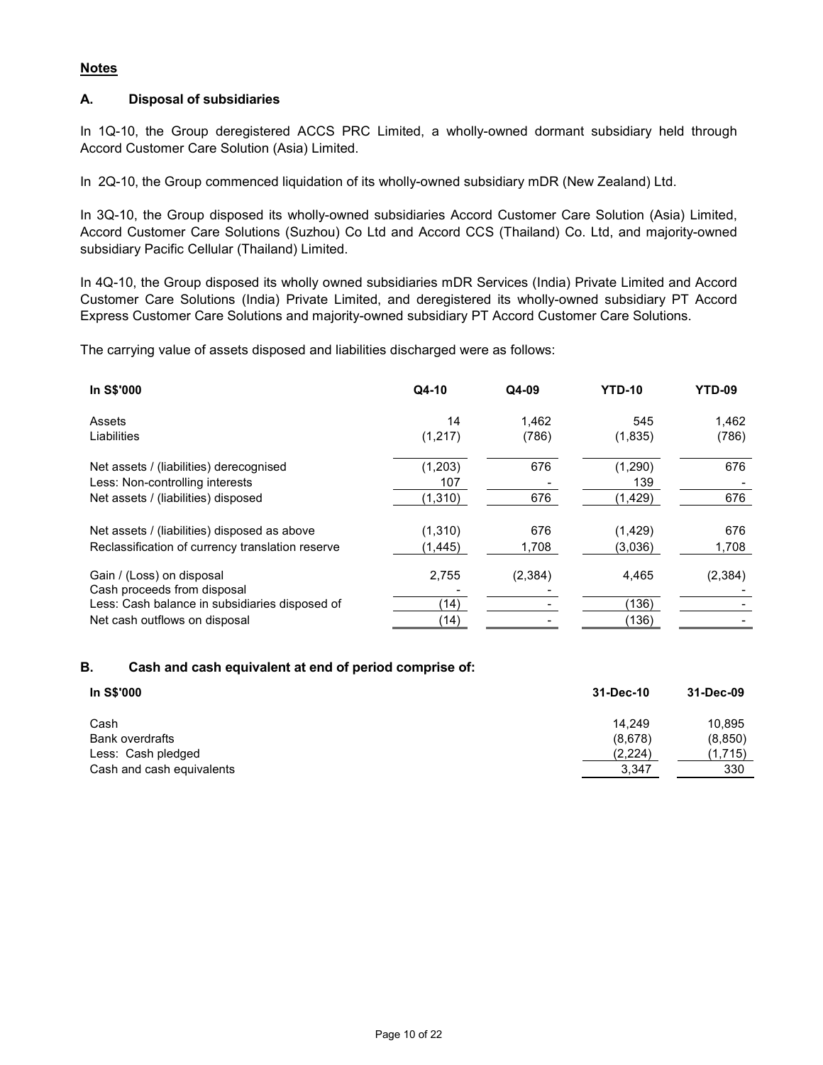## **Notes**

## **A. Disposal of subsidiaries**

In 1Q-10, the Group deregistered ACCS PRC Limited, a wholly-owned dormant subsidiary held through Accord Customer Care Solution (Asia) Limited.

In 2Q-10, the Group commenced liquidation of its wholly-owned subsidiary mDR (New Zealand) Ltd.

In 3Q-10, the Group disposed its wholly-owned subsidiaries Accord Customer Care Solution (Asia) Limited, Accord Customer Care Solutions (Suzhou) Co Ltd and Accord CCS (Thailand) Co. Ltd, and majority-owned subsidiary Pacific Cellular (Thailand) Limited.

In 4Q-10, the Group disposed its wholly owned subsidiaries mDR Services (India) Private Limited and Accord Customer Care Solutions (India) Private Limited, and deregistered its wholly-owned subsidiary PT Accord Express Customer Care Solutions and majority-owned subsidiary PT Accord Customer Care Solutions.

The carrying value of assets disposed and liabilities discharged were as follows:

| <b>In S\$'000</b>                                        | Q4-10    | Q4-09   | <b>YTD-10</b> | <b>YTD-09</b> |
|----------------------------------------------------------|----------|---------|---------------|---------------|
| Assets                                                   | 14       | 1.462   | 545           | 1,462         |
| Liabilities                                              | (1,217)  | (786)   | (1,835)       | (786)         |
| Net assets / (liabilities) derecognised                  | (1,203)  | 676     | (1,290)       | 676           |
| Less: Non-controlling interests                          | 107      |         | 139           |               |
| Net assets / (liabilities) disposed                      | (1, 310) | 676     | (1, 429)      | 676           |
| Net assets / (liabilities) disposed as above             | (1,310)  | 676     | (1, 429)      | 676           |
| Reclassification of currency translation reserve         | (1, 445) | 1,708   | (3,036)       | 1,708         |
| Gain / (Loss) on disposal<br>Cash proceeds from disposal | 2,755    | (2,384) | 4.465         | (2, 384)      |
| Less: Cash balance in subsidiaries disposed of           | (14)     |         | (136)         |               |
| Net cash outflows on disposal                            | (14)     |         | (136)         |               |

## **B. Cash and cash equivalent at end of period comprise of:**

| In S\$'000                | 31-Dec-10 | 31-Dec-09 |
|---------------------------|-----------|-----------|
| Cash                      | 14.249    | 10,895    |
| Bank overdrafts           | (8,678)   | (8, 850)  |
| Less: Cash pledged        | (2,224)   | (1,715)   |
| Cash and cash equivalents | 3.347     | 330       |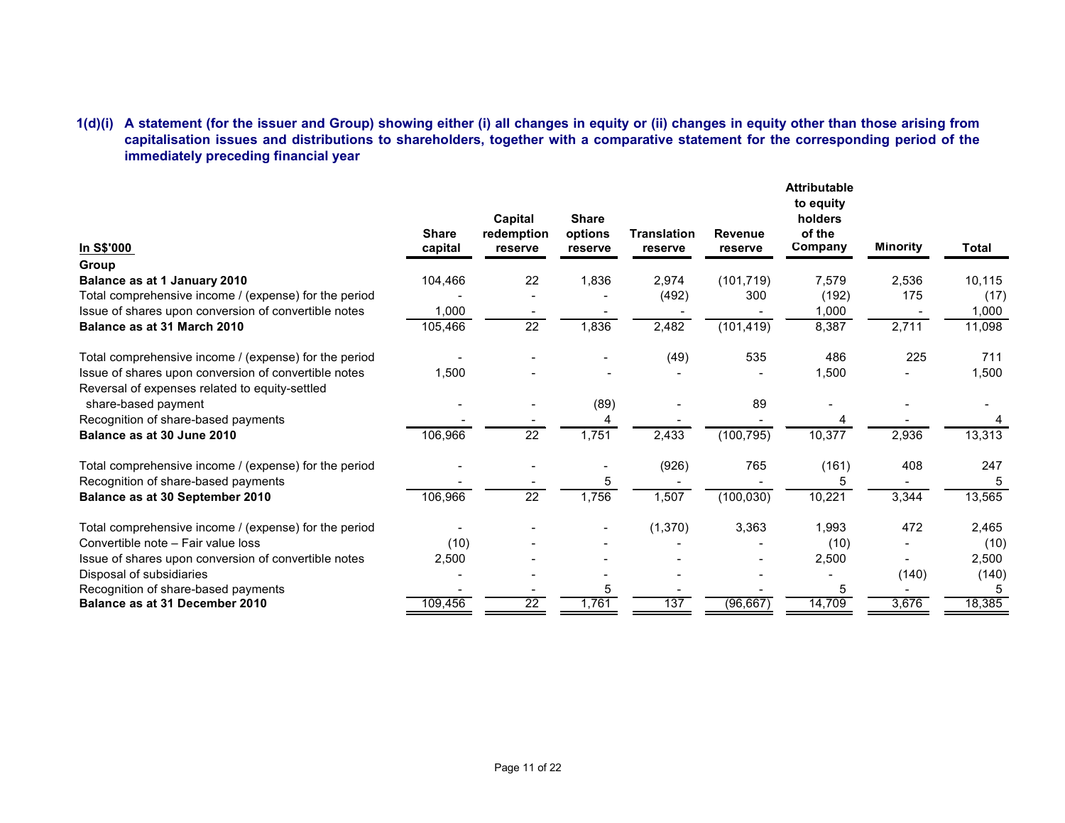## **1(d)(i) A statement (for the issuer and Group) showing either (i) all changes in equity or (ii) changes in equity other than those arising from capitalisation issues and distributions to shareholders, together with a comparative statement for the corresponding period of the immediately preceding financial year**

| In S\$'000                                            | <b>Share</b><br>capital | Capital<br>redemption<br>reserve | <b>Share</b><br>options<br>reserve | <b>Translation</b><br>reserve | <b>Revenue</b><br>reserve | <b>Attributable</b><br>to equity<br>holders<br>of the<br>Company | <b>Minority</b> | <b>Total</b> |
|-------------------------------------------------------|-------------------------|----------------------------------|------------------------------------|-------------------------------|---------------------------|------------------------------------------------------------------|-----------------|--------------|
| Group                                                 |                         |                                  |                                    |                               |                           |                                                                  |                 |              |
| Balance as at 1 January 2010                          | 104,466                 | 22                               | 1,836                              | 2,974                         | (101, 719)                | 7,579                                                            | 2,536           | 10,115       |
| Total comprehensive income / (expense) for the period |                         |                                  |                                    | (492)                         | 300                       | (192)                                                            | 175             | (17)         |
| Issue of shares upon conversion of convertible notes  | 1,000                   |                                  |                                    |                               |                           | 1,000                                                            |                 | 1,000        |
| Balance as at 31 March 2010                           | 105,466                 | $\overline{22}$                  | 1,836                              | 2,482                         | (101, 419)                | 8,387                                                            | 2,711           | 11,098       |
| Total comprehensive income / (expense) for the period |                         |                                  |                                    | (49)                          | 535                       | 486                                                              | 225             | 711          |
| Issue of shares upon conversion of convertible notes  | 1,500                   |                                  |                                    |                               |                           | 1,500                                                            |                 | 1,500        |
| Reversal of expenses related to equity-settled        |                         |                                  |                                    |                               |                           |                                                                  |                 |              |
| share-based payment                                   |                         |                                  | (89)                               |                               | 89                        |                                                                  |                 |              |
| Recognition of share-based payments                   |                         |                                  | 4                                  |                               |                           | 4                                                                |                 |              |
| Balance as at 30 June 2010                            | 106,966                 | $\overline{22}$                  | 1,751                              | 2,433                         | (100, 795)                | 10,377                                                           | 2,936           | 13,313       |
| Total comprehensive income / (expense) for the period |                         |                                  |                                    | (926)                         | 765                       | (161)                                                            | 408             | 247          |
| Recognition of share-based payments                   |                         |                                  | 5                                  |                               |                           | 5                                                                |                 | 5            |
| Balance as at 30 September 2010                       | 106,966                 | $\overline{22}$                  | 1,756                              | 1,507                         | (100, 030)                | 10,221                                                           | 3,344           | 13,565       |
| Total comprehensive income / (expense) for the period |                         |                                  | $\overline{\phantom{0}}$           | (1,370)                       | 3,363                     | 1,993                                                            | 472             | 2,465        |
| Convertible note - Fair value loss                    | (10)                    |                                  |                                    |                               |                           | (10)                                                             |                 | (10)         |
| Issue of shares upon conversion of convertible notes  | 2,500                   |                                  |                                    |                               |                           | 2,500                                                            |                 | 2,500        |
| Disposal of subsidiaries                              |                         |                                  |                                    |                               |                           |                                                                  | (140)           | (140)        |
| Recognition of share-based payments                   |                         |                                  | 5                                  |                               |                           | 5                                                                |                 | 5            |
| Balance as at 31 December 2010                        | 109,456                 | $\overline{22}$                  | 1,761                              | 137                           | (96, 667)                 | 14,709                                                           | 3,676           | 18,385       |
|                                                       |                         |                                  |                                    |                               |                           |                                                                  |                 |              |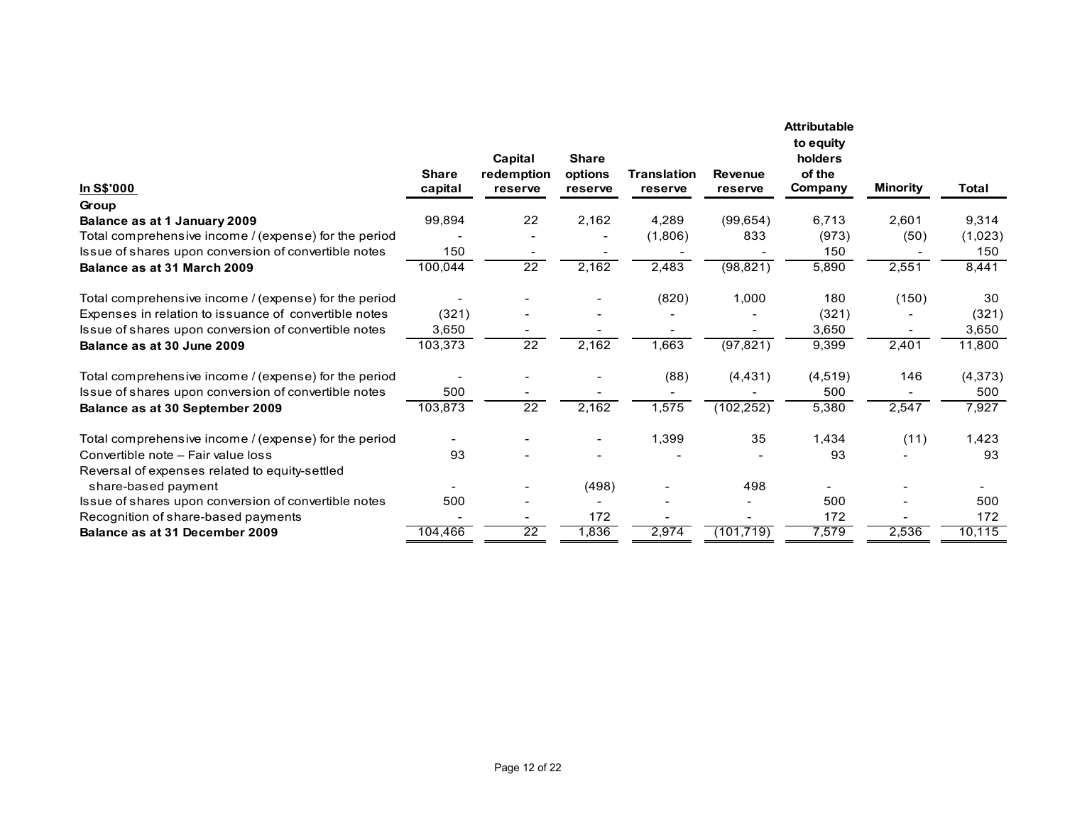| In S\$'000                                                                                                    | <b>Share</b><br>capital | Capital<br>redemption<br>reserve | <b>Share</b><br>options<br>reserve | <b>Translation</b><br>reserve | <b>Revenue</b><br>reserve | <b>Attributable</b><br>to equity<br>holders<br>of the<br>Company | <b>Minority</b> | <b>Total</b>   |
|---------------------------------------------------------------------------------------------------------------|-------------------------|----------------------------------|------------------------------------|-------------------------------|---------------------------|------------------------------------------------------------------|-----------------|----------------|
| Group                                                                                                         |                         |                                  |                                    |                               |                           |                                                                  |                 |                |
| Balance as at 1 January 2009                                                                                  | 99,894                  | 22                               | 2,162                              | 4,289                         | (99, 654)                 | 6,713                                                            | 2,601           | 9,314          |
| Total comprehensive income / (expense) for the period                                                         |                         |                                  |                                    | (1,806)                       | 833                       | (973)                                                            | (50)            | (1,023)        |
| Issue of shares upon conversion of convertible notes                                                          | 150                     |                                  |                                    |                               |                           | 150                                                              |                 | 150            |
| Balance as at 31 March 2009                                                                                   | 100,044                 | $\overline{22}$                  | 2,162                              | 2,483                         | (98, 821)                 | 5,890                                                            | 2,551           | 8,441          |
| Total comprehensive income / (expense) for the period                                                         |                         |                                  |                                    | (820)                         | 1,000                     | 180                                                              | (150)           | 30             |
| Expenses in relation to issuance of convertible notes                                                         | (321)                   |                                  |                                    |                               |                           | (321)                                                            |                 | (321)          |
| Issue of shares upon conversion of convertible notes                                                          | 3,650                   |                                  |                                    |                               |                           | 3,650                                                            |                 | 3,650          |
| Balance as at 30 June 2009                                                                                    | 103,373                 | $\overline{22}$                  | 2,162                              | 1,663                         | (97, 821)                 | 9,399                                                            | 2,401           | 11,800         |
| Total comprehensive income / (expense) for the period<br>Issue of shares upon conversion of convertible notes | 500                     |                                  |                                    | (88)                          | (4, 431)                  | (4, 519)<br>500                                                  | 146             | (4,373)<br>500 |
| Balance as at 30 September 2009                                                                               | 103,873                 | $\overline{22}$                  | 2,162                              | 1,575                         | (102, 252)                | 5,380                                                            | 2,547           | 7,927          |
| Total comprehensive income / (expense) for the period                                                         |                         |                                  |                                    | 1,399                         | 35                        | 1,434                                                            | (11)            | 1,423          |
| Convertible note - Fair value loss                                                                            | 93                      |                                  |                                    |                               |                           | 93                                                               |                 | 93             |
| Reversal of expenses related to equity-settled                                                                |                         |                                  |                                    |                               |                           |                                                                  |                 |                |
| share-based payment                                                                                           |                         |                                  | (498)                              |                               | 498                       |                                                                  |                 |                |
| Issue of shares upon conversion of convertible notes                                                          | 500                     |                                  |                                    |                               |                           | 500                                                              |                 | 500            |
| Recognition of share-based payments                                                                           |                         |                                  | 172                                |                               |                           | 172                                                              |                 | 172            |
| Balance as at 31 December 2009                                                                                | 104,466                 | $\overline{22}$                  | 1,836                              | 2,974                         | (101, 719)                | 7,579                                                            | 2,536           | 10,115         |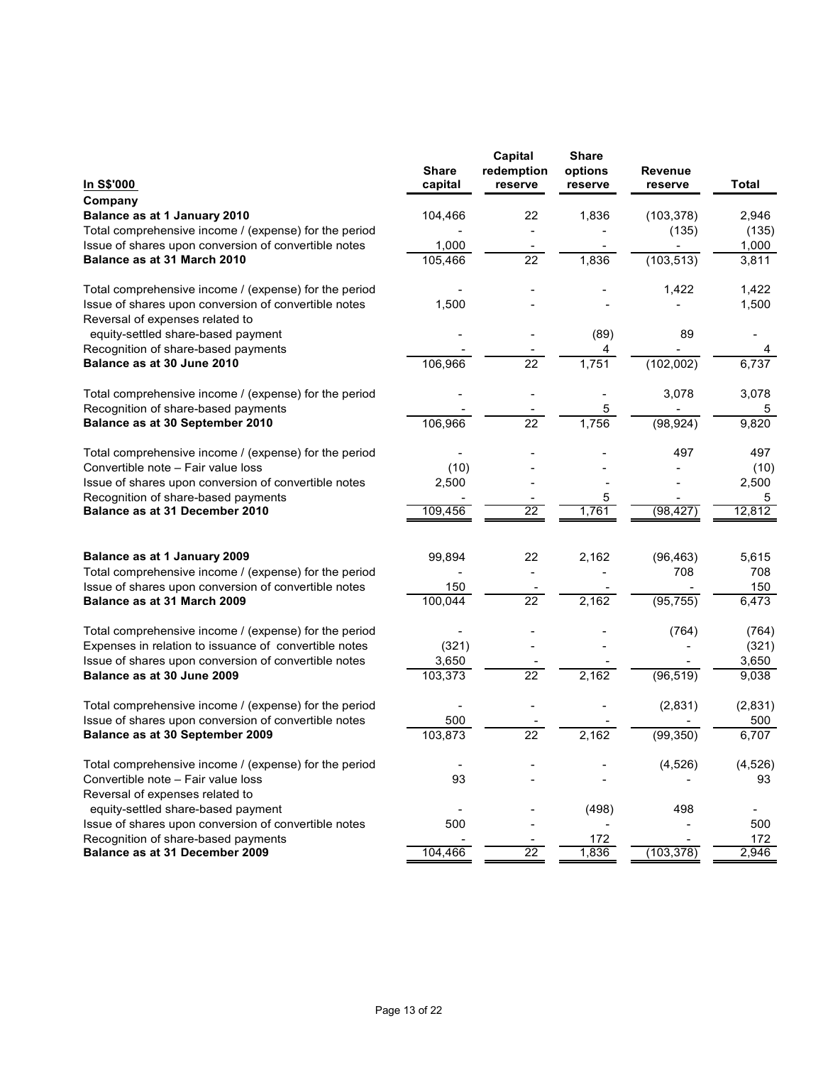|                                                       | <b>Share</b>   | Capital<br>redemption | <b>Share</b><br>options | <b>Revenue</b> |              |
|-------------------------------------------------------|----------------|-----------------------|-------------------------|----------------|--------------|
| In S\$'000                                            | capital        | reserve               | reserve                 | reserve        | <b>Total</b> |
| Company                                               |                |                       |                         |                |              |
| Balance as at 1 January 2010                          | 104,466        | 22                    | 1,836                   | (103, 378)     | 2,946        |
| Total comprehensive income / (expense) for the period |                |                       |                         | (135)          | (135)        |
| Issue of shares upon conversion of convertible notes  | 1,000          |                       |                         |                | 1,000        |
| Balance as at 31 March 2010                           | 105,466        | 22                    | 1,836                   | (103, 513)     | 3,811        |
| Total comprehensive income / (expense) for the period |                |                       |                         | 1,422          | 1,422        |
| Issue of shares upon conversion of convertible notes  | 1,500          |                       |                         |                | 1,500        |
| Reversal of expenses related to                       |                |                       |                         |                |              |
| equity-settled share-based payment                    |                |                       | (89)                    | 89             |              |
| Recognition of share-based payments                   |                |                       | 4                       |                | 4            |
| Balance as at 30 June 2010                            | 106,966        | 22                    | 1,751                   | (102,002)      | 6,737        |
| Total comprehensive income / (expense) for the period |                |                       | $\overline{a}$          | 3,078          | 3,078        |
| Recognition of share-based payments                   |                |                       | 5                       |                | 5            |
| Balance as at 30 September 2010                       | 106,966        | $\overline{22}$       | 1,756                   | (98, 924)      | 9,820        |
| Total comprehensive income / (expense) for the period |                |                       |                         | 497            | 497          |
| Convertible note - Fair value loss                    | (10)           |                       |                         |                | (10)         |
| Issue of shares upon conversion of convertible notes  | 2,500          |                       |                         |                | 2,500        |
| Recognition of share-based payments                   |                |                       | 5                       |                | 5            |
| Balance as at 31 December 2010                        | 109,456        | 22                    | 1,761                   | (98, 427)      | 12,812       |
|                                                       |                |                       |                         |                |              |
| Balance as at 1 January 2009                          | 99,894         | 22                    | 2,162                   | (96, 463)      | 5,615        |
| Total comprehensive income / (expense) for the period |                |                       |                         | 708            | 708          |
| Issue of shares upon conversion of convertible notes  | 150            |                       |                         |                | 150          |
| Balance as at 31 March 2009                           | 100,044        | 22                    | 2,162                   | (95, 755)      | 6,473        |
| Total comprehensive income / (expense) for the period |                |                       |                         | (764)          | (764)        |
| Expenses in relation to issuance of convertible notes | (321)          |                       |                         |                | (321)        |
| Issue of shares upon conversion of convertible notes  | 3,650          |                       |                         |                | 3,650        |
| Balance as at 30 June 2009                            | 103,373        | 22                    | 2,162                   | (96, 519)      | 9,038        |
| Total comprehensive income / (expense) for the period |                |                       |                         | (2,831)        | (2,831)      |
| Issue of shares upon conversion of convertible notes  | 500            |                       |                         |                | 500          |
| Balance as at 30 September 2009                       | 103,873        | 22                    | 2,162                   | (99, 350)      | 6,707        |
| Total comprehensive income / (expense) for the period | $\blacksquare$ |                       |                         | (4,526)        | (4, 526)     |
| Convertible note - Fair value loss                    | 93             |                       |                         |                | 93           |
| Reversal of expenses related to                       |                |                       |                         |                |              |
| equity-settled share-based payment                    |                |                       | (498)                   | 498            | ۰            |
| Issue of shares upon conversion of convertible notes  | 500            |                       |                         |                | 500          |
| Recognition of share-based payments                   |                |                       | 172                     |                | 172          |
| Balance as at 31 December 2009                        | 104,466        | 22                    | 1,836                   | (103, 378)     | 2,946        |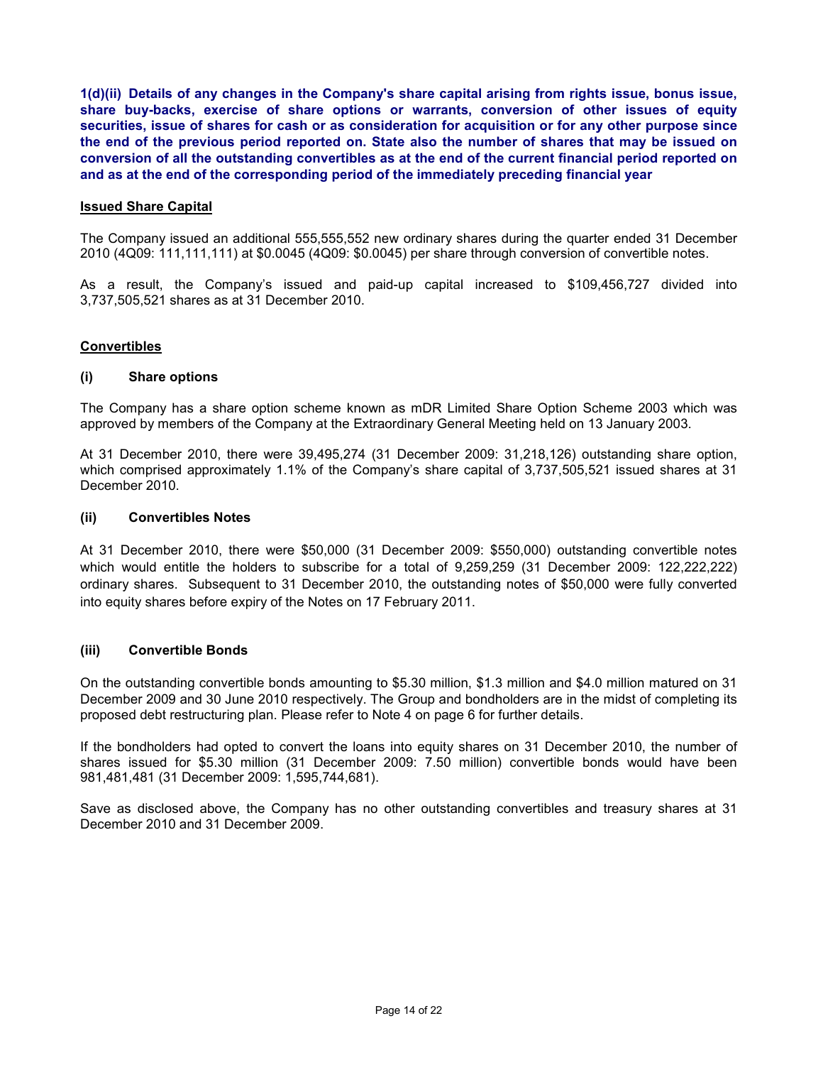**1(d)(ii) Details of any changes in the Company's share capital arising from rights issue, bonus issue, share buy-backs, exercise of share options or warrants, conversion of other issues of equity securities, issue of shares for cash or as consideration for acquisition or for any other purpose since the end of the previous period reported on. State also the number of shares that may be issued on conversion of all the outstanding convertibles as at the end of the current financial period reported on and as at the end of the corresponding period of the immediately preceding financial year** 

#### **Issued Share Capital**

The Company issued an additional 555,555,552 new ordinary shares during the quarter ended 31 December 2010 (4Q09: 111,111,111) at \$0.0045 (4Q09: \$0.0045) per share through conversion of convertible notes.

As a result, the Company's issued and paid-up capital increased to \$109,456,727 divided into 3,737,505,521 shares as at 31 December 2010.

#### **Convertibles**

#### **(i) Share options**

The Company has a share option scheme known as mDR Limited Share Option Scheme 2003 which was approved by members of the Company at the Extraordinary General Meeting held on 13 January 2003.

At 31 December 2010, there were 39,495,274 (31 December 2009: 31,218,126) outstanding share option, which comprised approximately 1.1% of the Company's share capital of 3,737,505,521 issued shares at 31 December 2010.

## **(ii) Convertibles Notes**

At 31 December 2010, there were \$50,000 (31 December 2009: \$550,000) outstanding convertible notes which would entitle the holders to subscribe for a total of 9,259,259 (31 December 2009: 122,222,222) ordinary shares. Subsequent to 31 December 2010, the outstanding notes of \$50,000 were fully converted into equity shares before expiry of the Notes on 17 February 2011.

## **(iii) Convertible Bonds**

On the outstanding convertible bonds amounting to \$5.30 million, \$1.3 million and \$4.0 million matured on 31 December 2009 and 30 June 2010 respectively. The Group and bondholders are in the midst of completing its proposed debt restructuring plan. Please refer to Note 4 on page 6 for further details.

If the bondholders had opted to convert the loans into equity shares on 31 December 2010, the number of shares issued for \$5.30 million (31 December 2009: 7.50 million) convertible bonds would have been 981,481,481 (31 December 2009: 1,595,744,681).

Save as disclosed above, the Company has no other outstanding convertibles and treasury shares at 31 December 2010 and 31 December 2009.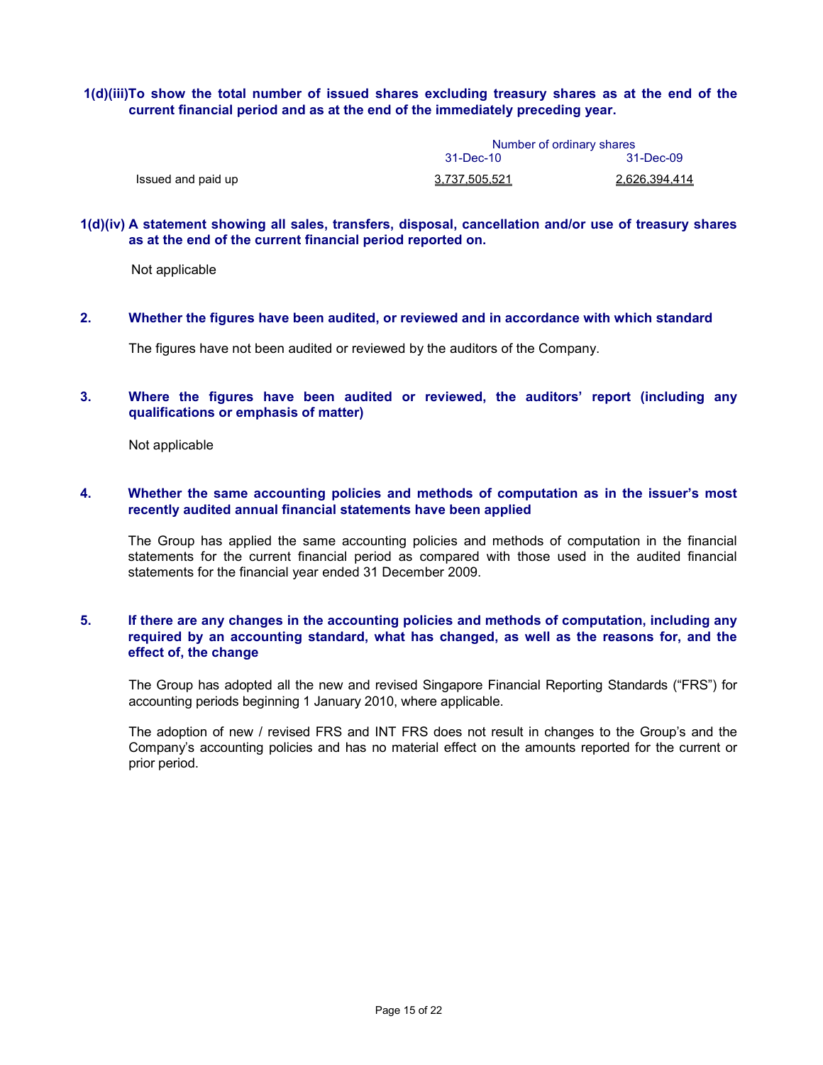#### **1(d)(iii)To show the total number of issued shares excluding treasury shares as at the end of the current financial period and as at the end of the immediately preceding year.**

|                    | Number of ordinary shares |               |  |  |
|--------------------|---------------------------|---------------|--|--|
|                    | 31-Dec-10                 | 31-Dec-09     |  |  |
| Issued and paid up | <u>3.737.505.521</u>      | 2.626.394.414 |  |  |

#### **1(d)(iv) A statement showing all sales, transfers, disposal, cancellation and/or use of treasury shares as at the end of the current financial period reported on.**

Not applicable

**2. Whether the figures have been audited, or reviewed and in accordance with which standard** 

The figures have not been audited or reviewed by the auditors of the Company.

#### **3. Where the figures have been audited or reviewed, the auditors' report (including any qualifications or emphasis of matter)**

Not applicable

#### **4. Whether the same accounting policies and methods of computation as in the issuer's most recently audited annual financial statements have been applied**

The Group has applied the same accounting policies and methods of computation in the financial statements for the current financial period as compared with those used in the audited financial statements for the financial year ended 31 December 2009.

## **5. If there are any changes in the accounting policies and methods of computation, including any required by an accounting standard, what has changed, as well as the reasons for, and the effect of, the change**

The Group has adopted all the new and revised Singapore Financial Reporting Standards ("FRS") for accounting periods beginning 1 January 2010, where applicable.

The adoption of new / revised FRS and INT FRS does not result in changes to the Group's and the Company's accounting policies and has no material effect on the amounts reported for the current or prior period.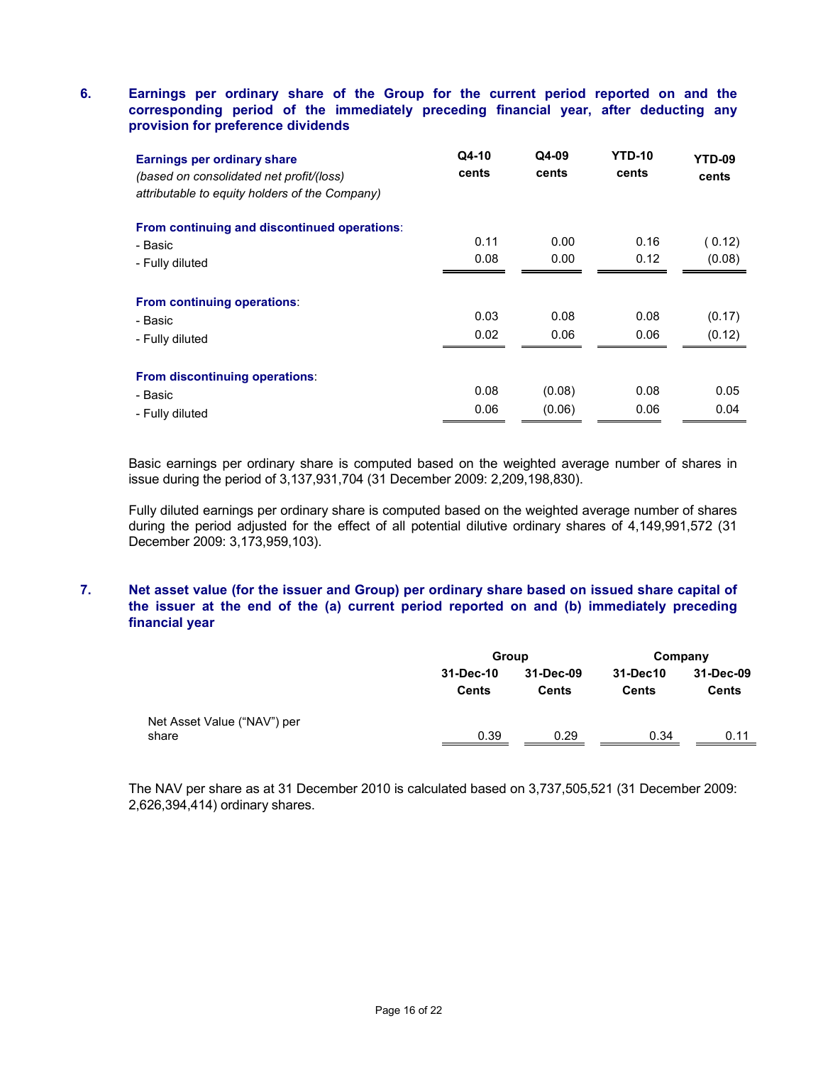## **6. Earnings per ordinary share of the Group for the current period reported on and the corresponding period of the immediately preceding financial year, after deducting any provision for preference dividends**

| Earnings per ordinary share<br>(based on consolidated net profit/(loss)<br>attributable to equity holders of the Company) | Q4-10<br>cents | Q4-09<br>cents | <b>YTD-10</b><br>cents | YTD-09<br>cents  |
|---------------------------------------------------------------------------------------------------------------------------|----------------|----------------|------------------------|------------------|
| From continuing and discontinued operations:                                                                              |                |                |                        |                  |
| - Basic                                                                                                                   | 0.11           | 0.00           | 0.16                   | ( 0.12)          |
| - Fully diluted                                                                                                           | 0.08           | 0.00           | 0.12                   | (0.08)           |
| From continuing operations:<br>- Basic<br>- Fully diluted                                                                 | 0.03<br>0.02   | 0.08<br>0.06   | 0.08<br>0.06           | (0.17)<br>(0.12) |
| From discontinuing operations:                                                                                            |                |                |                        |                  |
| - Basic                                                                                                                   | 0.08           | (0.08)         | 0.08                   | 0.05             |
| - Fully diluted                                                                                                           | 0.06           | (0.06)         | 0.06                   | 0.04             |

Basic earnings per ordinary share is computed based on the weighted average number of shares in issue during the period of 3,137,931,704 (31 December 2009: 2,209,198,830).

Fully diluted earnings per ordinary share is computed based on the weighted average number of shares during the period adjusted for the effect of all potential dilutive ordinary shares of 4,149,991,572 (31 December 2009: 3,173,959,103).

#### **7. Net asset value (for the issuer and Group) per ordinary share based on issued share capital of the issuer at the end of the (a) current period reported on and (b) immediately preceding financial year**

|                                      | Group                     |                    | Company                  |                           |  |
|--------------------------------------|---------------------------|--------------------|--------------------------|---------------------------|--|
|                                      | 31-Dec-10<br><b>Cents</b> | 31-Dec-09<br>Cents | 31-Dec10<br><b>Cents</b> | 31-Dec-09<br><b>Cents</b> |  |
| Net Asset Value ("NAV") per<br>share | 0.39                      | 0.29               | 0.34                     | 0.11                      |  |

The NAV per share as at 31 December 2010 is calculated based on 3,737,505,521 (31 December 2009: 2,626,394,414) ordinary shares.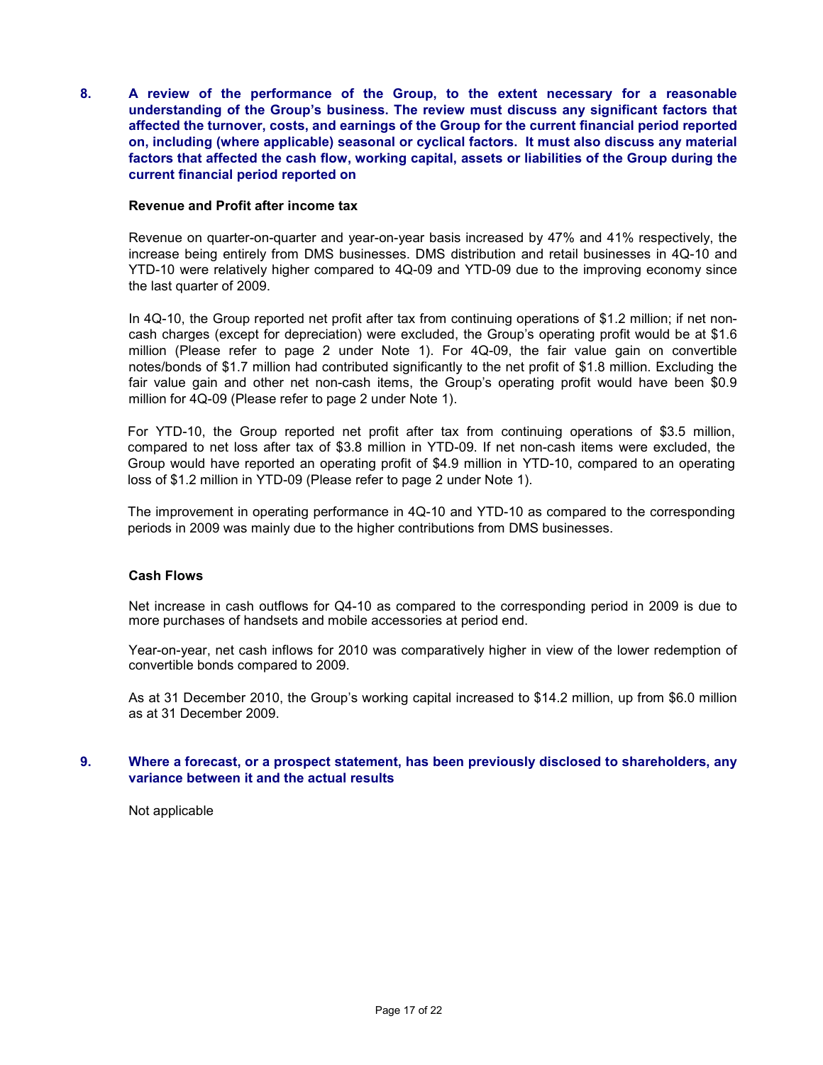**8. A review of the performance of the Group, to the extent necessary for a reasonable understanding of the Group's business. The review must discuss any significant factors that affected the turnover, costs, and earnings of the Group for the current financial period reported on, including (where applicable) seasonal or cyclical factors. It must also discuss any material factors that affected the cash flow, working capital, assets or liabilities of the Group during the current financial period reported on** 

#### **Revenue and Profit after income tax**

Revenue on quarter-on-quarter and year-on-year basis increased by 47% and 41% respectively, the increase being entirely from DMS businesses. DMS distribution and retail businesses in 4Q-10 and YTD-10 were relatively higher compared to 4Q-09 and YTD-09 due to the improving economy since the last quarter of 2009.

In 4Q-10, the Group reported net profit after tax from continuing operations of \$1.2 million; if net noncash charges (except for depreciation) were excluded, the Group's operating profit would be at \$1.6 million (Please refer to page 2 under Note 1). For 4Q-09, the fair value gain on convertible notes/bonds of \$1.7 million had contributed significantly to the net profit of \$1.8 million. Excluding the fair value gain and other net non-cash items, the Group's operating profit would have been \$0.9 million for 4Q-09 (Please refer to page 2 under Note 1).

For YTD-10, the Group reported net profit after tax from continuing operations of \$3.5 million, compared to net loss after tax of \$3.8 million in YTD-09. If net non-cash items were excluded, the Group would have reported an operating profit of \$4.9 million in YTD-10, compared to an operating loss of \$1.2 million in YTD-09 (Please refer to page 2 under Note 1).

The improvement in operating performance in 4Q-10 and YTD-10 as compared to the corresponding periods in 2009 was mainly due to the higher contributions from DMS businesses.

#### **Cash Flows**

Net increase in cash outflows for Q4-10 as compared to the corresponding period in 2009 is due to more purchases of handsets and mobile accessories at period end.

Year-on-year, net cash inflows for 2010 was comparatively higher in view of the lower redemption of convertible bonds compared to 2009.

As at 31 December 2010, the Group's working capital increased to \$14.2 million, up from \$6.0 million as at 31 December 2009.

#### **9. Where a forecast, or a prospect statement, has been previously disclosed to shareholders, any variance between it and the actual results**

Not applicable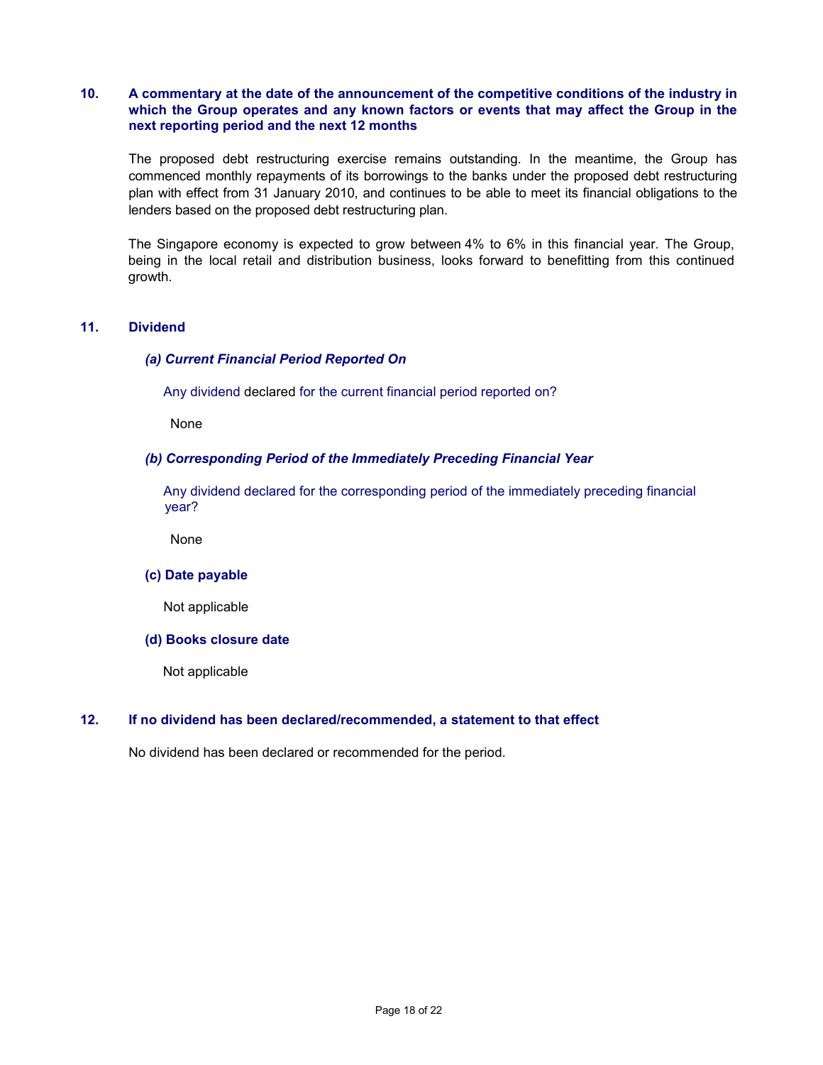## **10. A commentary at the date of the announcement of the competitive conditions of the industry in which the Group operates and any known factors or events that may affect the Group in the next reporting period and the next 12 months**

 The proposed debt restructuring exercise remains outstanding. In the meantime, the Group has commenced monthly repayments of its borrowings to the banks under the proposed debt restructuring plan with effect from 31 January 2010, and continues to be able to meet its financial obligations to the lenders based on the proposed debt restructuring plan.

The Singapore economy is expected to grow between 4% to 6% in this financial year. The Group, being in the local retail and distribution business, looks forward to benefitting from this continued growth.

## **11. Dividend**

## *(a) Current Financial Period Reported On*

Any dividend declared for the current financial period reported on?

None

## *(b) Corresponding Period of the Immediately Preceding Financial Year*

 Any dividend declared for the corresponding period of the immediately preceding financial year?

None

#### **(c) Date payable**

Not applicable

#### **(d) Books closure date**

Not applicable

#### **12. If no dividend has been declared/recommended, a statement to that effect**

No dividend has been declared or recommended for the period.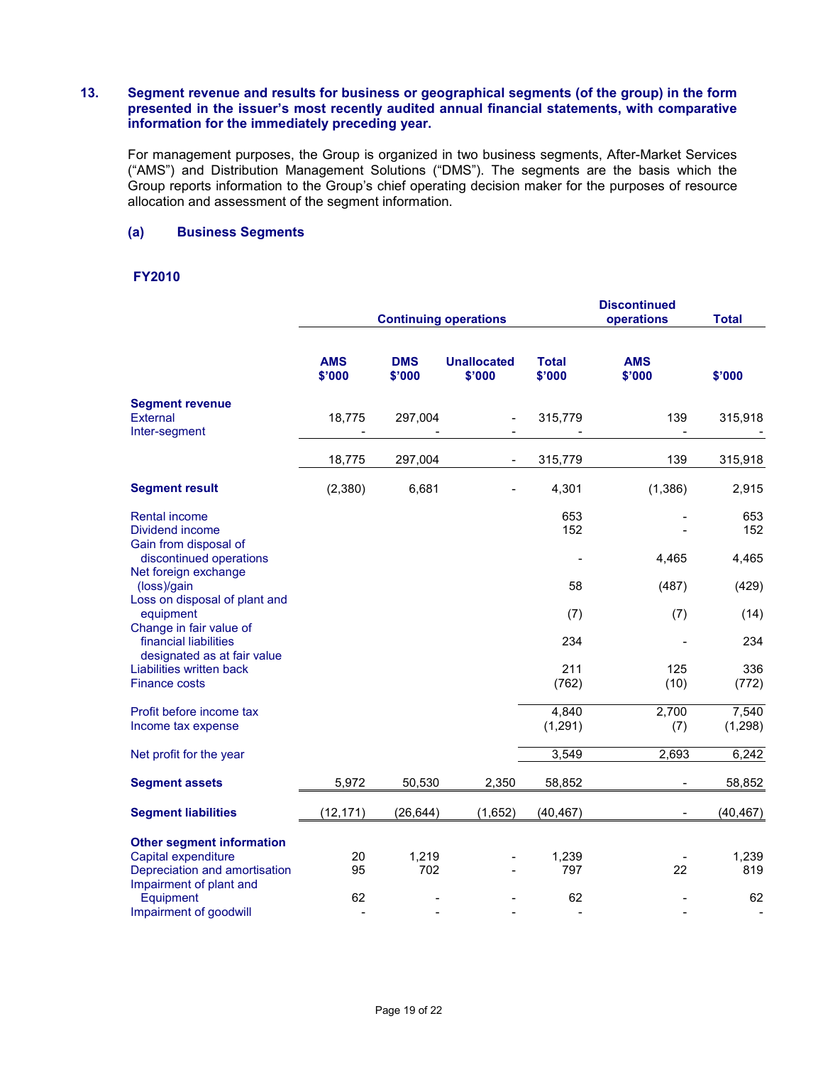#### **13. Segment revenue and results for business or geographical segments (of the group) in the form presented in the issuer's most recently audited annual financial statements, with comparative information for the immediately preceding year.**

For management purposes, the Group is organized in two business segments, After-Market Services ("AMS") and Distribution Management Solutions ("DMS"). The segments are the basis which the Group reports information to the Group's chief operating decision maker for the purposes of resource allocation and assessment of the segment information.

## **(a) Business Segments**

# **FY2010**

|                                                                                          | <b>Continuing operations</b> |                      |                              |                        | <b>Discontinued</b><br>operations | <b>Total</b>                       |
|------------------------------------------------------------------------------------------|------------------------------|----------------------|------------------------------|------------------------|-----------------------------------|------------------------------------|
|                                                                                          | <b>AMS</b><br>\$'000         | <b>DMS</b><br>\$'000 | <b>Unallocated</b><br>\$'000 | <b>Total</b><br>\$'000 | <b>AMS</b><br>\$'000              | \$'000                             |
| <b>Segment revenue</b><br>External<br>Inter-segment                                      | 18,775                       | 297,004              |                              | 315,779                | 139<br>$\blacksquare$             | 315,918                            |
|                                                                                          | 18,775                       | 297,004              |                              | 315,779                | 139                               | 315,918                            |
| <b>Segment result</b>                                                                    | (2,380)                      | 6,681                |                              | 4,301                  | (1,386)                           | 2,915                              |
| <b>Rental income</b><br>Dividend income<br>Gain from disposal of                         |                              |                      |                              | 653<br>152             |                                   | 653<br>152                         |
| discontinued operations<br>Net foreign exchange                                          |                              |                      |                              |                        | 4,465                             | 4,465                              |
| (loss)/gain<br>Loss on disposal of plant and                                             |                              |                      |                              | 58                     | (487)                             | (429)                              |
| equipment<br>Change in fair value of                                                     |                              |                      |                              | (7)                    | (7)                               | (14)                               |
| financial liabilities<br>designated as at fair value                                     |                              |                      |                              | 234                    |                                   | 234                                |
| Liabilities written back<br><b>Finance costs</b>                                         |                              |                      |                              | 211<br>(762)           | 125<br>(10)                       | 336<br>(772)                       |
| Profit before income tax<br>Income tax expense                                           |                              |                      |                              | 4,840<br>(1, 291)      | 2,700<br>(7)                      | 7,540<br>(1, 298)                  |
| Net profit for the year                                                                  |                              |                      |                              | 3,549                  | 2,693                             | 6,242                              |
| <b>Segment assets</b>                                                                    | 5,972                        | 50,530               | 2,350                        | 58,852                 | $\blacksquare$                    | 58,852                             |
| <b>Segment liabilities</b>                                                               | (12, 171)                    | (26, 644)            | (1,652)                      | (40, 467)              |                                   | (40, 467)                          |
| <b>Other segment information</b><br>Capital expenditure<br>Depreciation and amortisation | 20<br>95                     | 1,219<br>702         |                              | 1,239<br>797           | 22                                | 1,239<br>819                       |
| Impairment of plant and<br>Equipment<br>Impairment of goodwill                           | 62<br>$\overline{a}$         |                      |                              | 62<br>$\blacksquare$   |                                   | 62<br>$\qquad \qquad \blacksquare$ |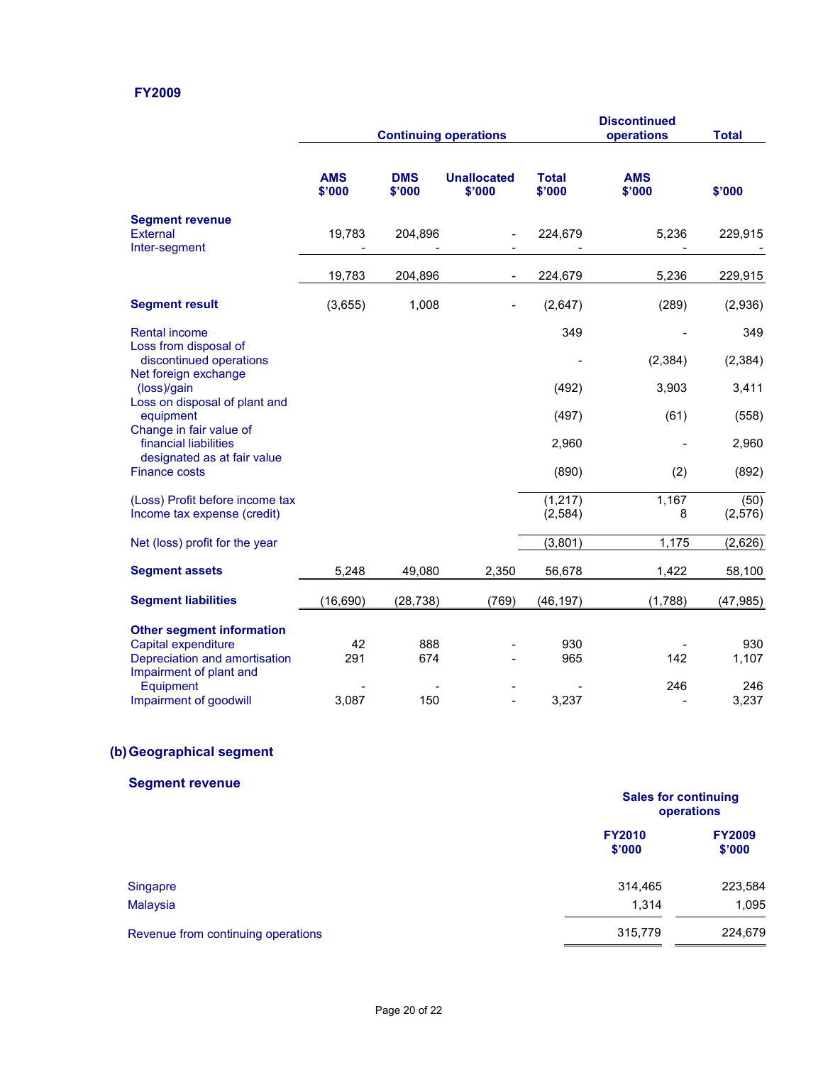## **FY2009**

|                                                                                 | <b>Continuing operations</b> |                      |                              | <b>Discontinued</b><br>operations | <b>Total</b>         |                  |
|---------------------------------------------------------------------------------|------------------------------|----------------------|------------------------------|-----------------------------------|----------------------|------------------|
|                                                                                 | <b>AMS</b><br>\$'000         | <b>DMS</b><br>\$'000 | <b>Unallocated</b><br>\$'000 | <b>Total</b><br>\$'000            | <b>AMS</b><br>\$'000 | \$'000           |
| <b>Segment revenue</b><br>External<br>Inter-segment                             | 19,783                       | 204,896              |                              | 224,679                           | 5,236                | 229,915          |
|                                                                                 | 19,783                       | 204,896              |                              | 224,679                           | 5,236                | 229,915          |
| <b>Segment result</b>                                                           | (3,655)                      | 1,008                |                              | (2,647)                           | (289)                | (2,936)          |
| <b>Rental income</b>                                                            |                              |                      |                              | 349                               |                      | 349              |
| Loss from disposal of<br>discontinued operations<br>Net foreign exchange        |                              |                      |                              |                                   | (2, 384)             | (2, 384)         |
| (loss)/gain                                                                     |                              |                      |                              | (492)                             | 3,903                | 3,411            |
| Loss on disposal of plant and<br>equipment<br>Change in fair value of           |                              |                      |                              | (497)                             | (61)                 | (558)            |
| financial liabilities                                                           |                              |                      |                              | 2,960                             |                      | 2,960            |
| designated as at fair value<br><b>Finance costs</b>                             |                              |                      |                              | (890)                             | (2)                  | (892)            |
| (Loss) Profit before income tax<br>Income tax expense (credit)                  |                              |                      |                              | (1, 217)<br>(2, 584)              | 1,167<br>8           | (50)<br>(2, 576) |
| Net (loss) profit for the year                                                  |                              |                      |                              | (3,801)                           | 1,175                | (2,626)          |
| <b>Segment assets</b>                                                           | 5,248                        | 49,080               | 2,350                        | 56,678                            | 1,422                | 58,100           |
| <b>Segment liabilities</b>                                                      | (16, 690)                    | (28, 738)            | (769)                        | (46, 197)                         | (1,788)              | (47, 985)        |
| <b>Other segment information</b>                                                |                              |                      |                              |                                   |                      |                  |
| Capital expenditure<br>Depreciation and amortisation<br>Impairment of plant and | 42<br>291                    | 888<br>674           |                              | 930<br>965                        | 142                  | 930<br>1,107     |
| Equipment<br>Impairment of goodwill                                             | 3,087                        | 150                  |                              | 3,237                             | 246                  | 246<br>3,237     |

# **(b) Geographical segment**

# **Segment revenue Sales for continuing operations FY2010 FY2009 \$'000 \$'000**  Singapre 223,584 كالموالد المستخدم المستخدم المستخدم المستخدم المستخدم المستخدم المستخدم المستخدم المستخدم المستخدم Malaysia 1,314 1,095 Revenue from continuing operations 315,779 224,679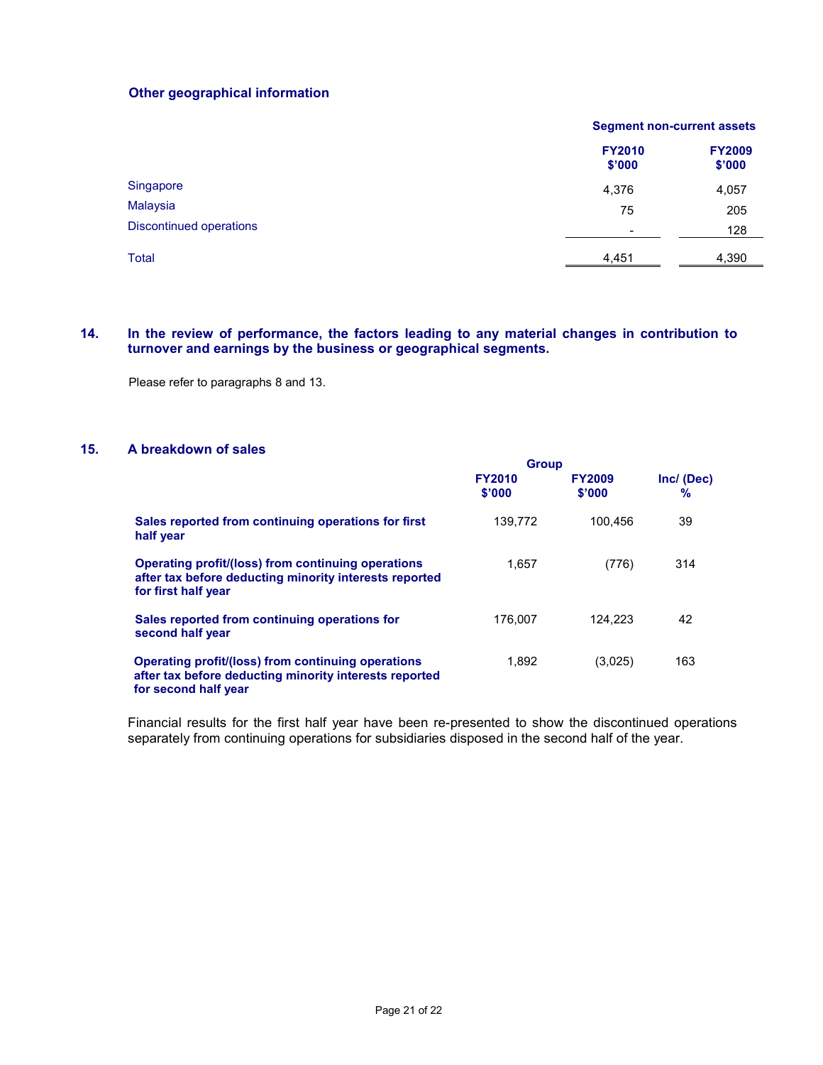## **Other geographical information**

|                                | <b>Segment non-current assets</b> |                         |  |
|--------------------------------|-----------------------------------|-------------------------|--|
|                                | <b>FY2010</b><br>\$'000           | <b>FY2009</b><br>\$'000 |  |
| Singapore                      | 4,376                             | 4,057                   |  |
| <b>Malaysia</b>                | 75                                | 205                     |  |
| <b>Discontinued operations</b> | $\overline{\phantom{a}}$          | 128                     |  |
| <b>Total</b>                   | 4,451                             | 4,390                   |  |

## **14. In the review of performance, the factors leading to any material changes in contribution to turnover and earnings by the business or geographical segments.**

Please refer to paragraphs 8 and 13.

#### **15. A breakdown of sales**

|                                                                                                                                      | <b>Group</b>            |                         |                    |
|--------------------------------------------------------------------------------------------------------------------------------------|-------------------------|-------------------------|--------------------|
|                                                                                                                                      | <b>FY2010</b><br>\$'000 | <b>FY2009</b><br>\$'000 | Inc/ (Dec)<br>$\%$ |
| Sales reported from continuing operations for first<br>half year                                                                     | 139.772                 | 100.456                 | 39                 |
| Operating profit/(loss) from continuing operations<br>after tax before deducting minority interests reported<br>for first half year  | 1,657                   | (776)                   | 314                |
| Sales reported from continuing operations for<br>second half year                                                                    | 176.007                 | 124.223                 | 42                 |
| Operating profit/(loss) from continuing operations<br>after tax before deducting minority interests reported<br>for second half year | 1,892                   | (3,025)                 | 163                |

Financial results for the first half year have been re-presented to show the discontinued operations separately from continuing operations for subsidiaries disposed in the second half of the year.